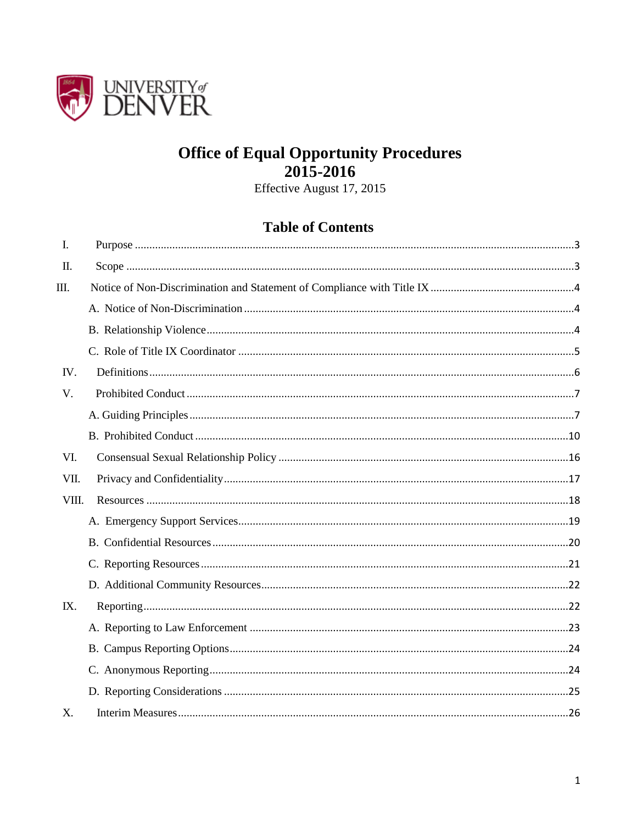

# **Office of Equal Opportunity Procedures**  $2015 - 2016$

Effective August 17, 2015

# **Table of Contents**

| I.    |  |
|-------|--|
| П.    |  |
| Ш.    |  |
|       |  |
|       |  |
|       |  |
| IV.   |  |
| V.    |  |
|       |  |
|       |  |
| VI.   |  |
| VII.  |  |
| VIII. |  |
|       |  |
|       |  |
|       |  |
|       |  |
| IX.   |  |
|       |  |
|       |  |
|       |  |
|       |  |
| X.    |  |
|       |  |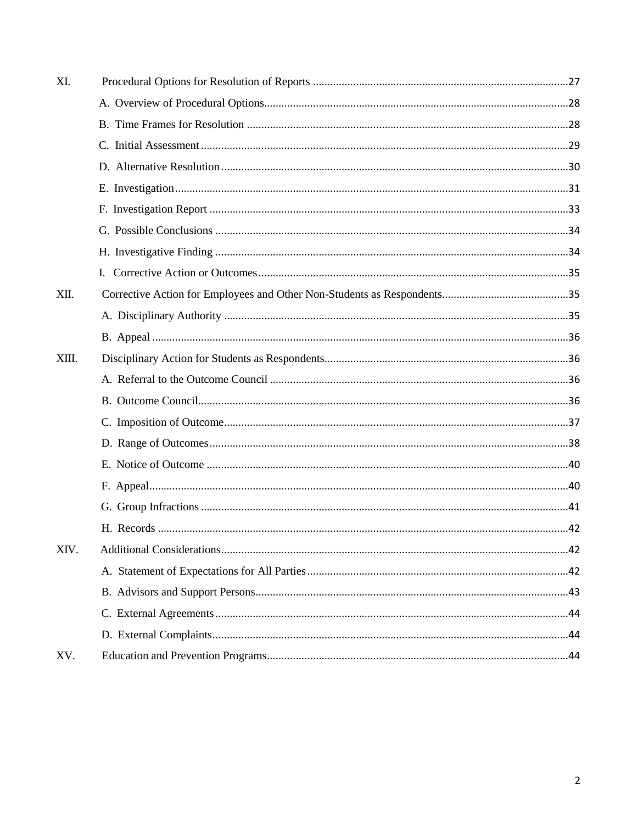| XI.   |  |
|-------|--|
|       |  |
|       |  |
|       |  |
|       |  |
|       |  |
|       |  |
|       |  |
|       |  |
|       |  |
| XII.  |  |
|       |  |
|       |  |
| XIII. |  |
|       |  |
|       |  |
|       |  |
|       |  |
|       |  |
|       |  |
|       |  |
|       |  |
| XIV.  |  |
|       |  |
|       |  |
|       |  |
|       |  |
| XV.   |  |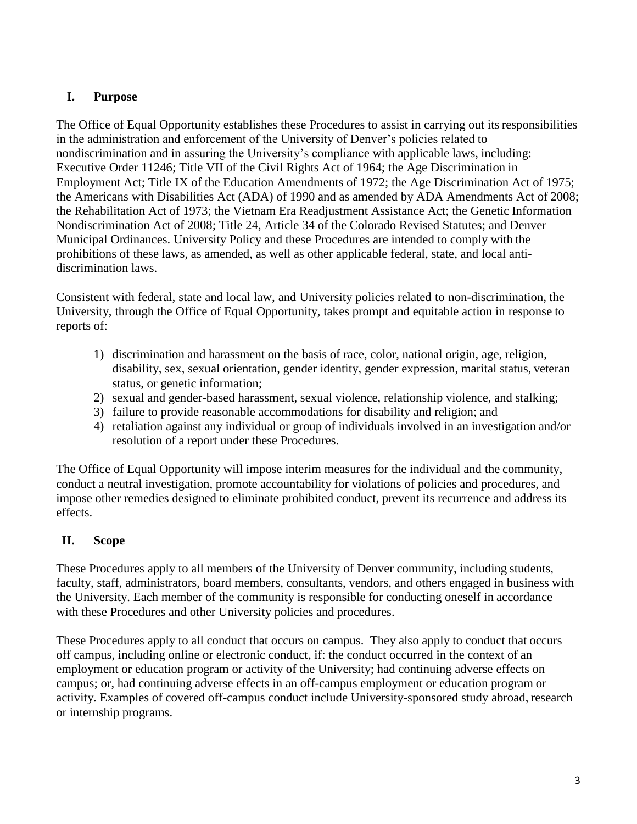## <span id="page-2-0"></span>**I. Purpose**

The Office of Equal Opportunity establishes these Procedures to assist in carrying out its responsibilities in the administration and enforcement of the University of Denver's policies related to nondiscrimination and in assuring the University's compliance with applicable laws, including: Executive Order 11246; Title VII of the Civil Rights Act of 1964; the Age Discrimination in Employment Act; Title IX of the Education Amendments of 1972; the Age Discrimination Act of 1975; the Americans with Disabilities Act (ADA) of 1990 and as amended by ADA Amendments Act of 2008; the Rehabilitation Act of 1973; the Vietnam Era Readjustment Assistance Act; the Genetic Information Nondiscrimination Act of 2008; Title 24, Article 34 of the Colorado Revised Statutes; and Denver Municipal Ordinances. University Policy and these Procedures are intended to comply with the prohibitions of these laws, as amended, as well as other applicable federal, state, and local antidiscrimination laws.

Consistent with federal, state and local law, and University policies related to non-discrimination, the University, through the Office of Equal Opportunity, takes prompt and equitable action in response to reports of:

- 1) discrimination and harassment on the basis of race, color, national origin, age, religion, disability, sex, sexual orientation, gender identity, gender expression, marital status, veteran status, or genetic information;
- 2) sexual and gender-based harassment, sexual violence, relationship violence, and stalking;
- 3) failure to provide reasonable accommodations for disability and religion; and
- 4) retaliation against any individual or group of individuals involved in an investigation and/or resolution of a report under these Procedures.

The Office of Equal Opportunity will impose interim measures for the individual and the community, conduct a neutral investigation, promote accountability for violations of policies and procedures, and impose other remedies designed to eliminate prohibited conduct, prevent its recurrence and address its effects.

## <span id="page-2-1"></span>**II. Scope**

These Procedures apply to all members of the University of Denver community, including students, faculty, staff, administrators, board members, consultants, vendors, and others engaged in business with the University. Each member of the community is responsible for conducting oneself in accordance with these Procedures and other University policies and procedures.

These Procedures apply to all conduct that occurs on campus. They also apply to conduct that occurs off campus, including online or electronic conduct, if: the conduct occurred in the context of an employment or education program or activity of the University; had continuing adverse effects on campus; or, had continuing adverse effects in an off-campus employment or education program or activity. Examples of covered off-campus conduct include University-sponsored study abroad, research or internship programs.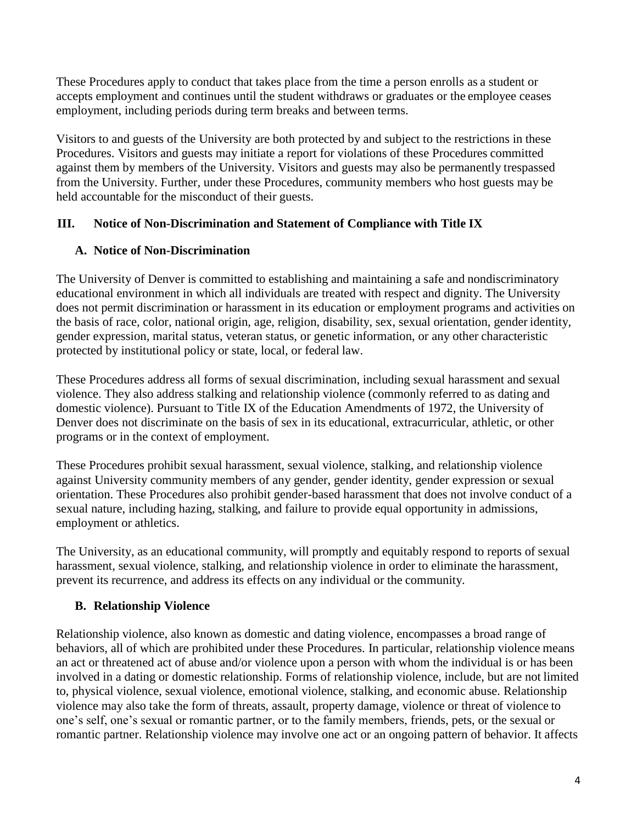These Procedures apply to conduct that takes place from the time a person enrolls as a student or accepts employment and continues until the student withdraws or graduates or the employee ceases employment, including periods during term breaks and between terms.

Visitors to and guests of the University are both protected by and subject to the restrictions in these Procedures. Visitors and guests may initiate a report for violations of these Procedures committed against them by members of the University. Visitors and guests may also be permanently trespassed from the University. Further, under these Procedures, community members who host guests may be held accountable for the misconduct of their guests.

## <span id="page-3-1"></span><span id="page-3-0"></span>**III. Notice of Non-Discrimination and Statement of Compliance with Title IX**

## **A. Notice of Non-Discrimination**

The University of Denver is committed to establishing and maintaining a safe and nondiscriminatory educational environment in which all individuals are treated with respect and dignity. The University does not permit discrimination or harassment in its education or employment programs and activities on the basis of race, color, national origin, age, religion, disability, sex, sexual orientation, gender identity, gender expression, marital status, veteran status, or genetic information, or any other characteristic protected by institutional policy or state, local, or federal law.

These Procedures address all forms of sexual discrimination, including sexual harassment and sexual violence. They also address stalking and relationship violence (commonly referred to as dating and domestic violence). Pursuant to Title IX of the Education Amendments of 1972, the University of Denver does not discriminate on the basis of sex in its educational, extracurricular, athletic, or other programs or in the context of employment.

These Procedures prohibit sexual harassment, sexual violence, stalking, and relationship violence against University community members of any gender, gender identity, gender expression or sexual orientation. These Procedures also prohibit gender-based harassment that does not involve conduct of a sexual nature, including hazing, stalking, and failure to provide equal opportunity in admissions, employment or athletics.

The University, as an educational community, will promptly and equitably respond to reports of sexual harassment, sexual violence, stalking, and relationship violence in order to eliminate the harassment, prevent its recurrence, and address its effects on any individual or the community.

## <span id="page-3-2"></span>**B. Relationship Violence**

Relationship violence, also known as domestic and dating violence, encompasses a broad range of behaviors, all of which are prohibited under these Procedures. In particular, relationship violence means an act or threatened act of abuse and/or violence upon a person with whom the individual is or has been involved in a dating or domestic relationship. Forms of relationship violence, include, but are not limited to, physical violence, sexual violence, emotional violence, stalking, and economic abuse. Relationship violence may also take the form of threats, assault, property damage, violence or threat of violence to one's self, one's sexual or romantic partner, or to the family members, friends, pets, or the sexual or romantic partner. Relationship violence may involve one act or an ongoing pattern of behavior. It affects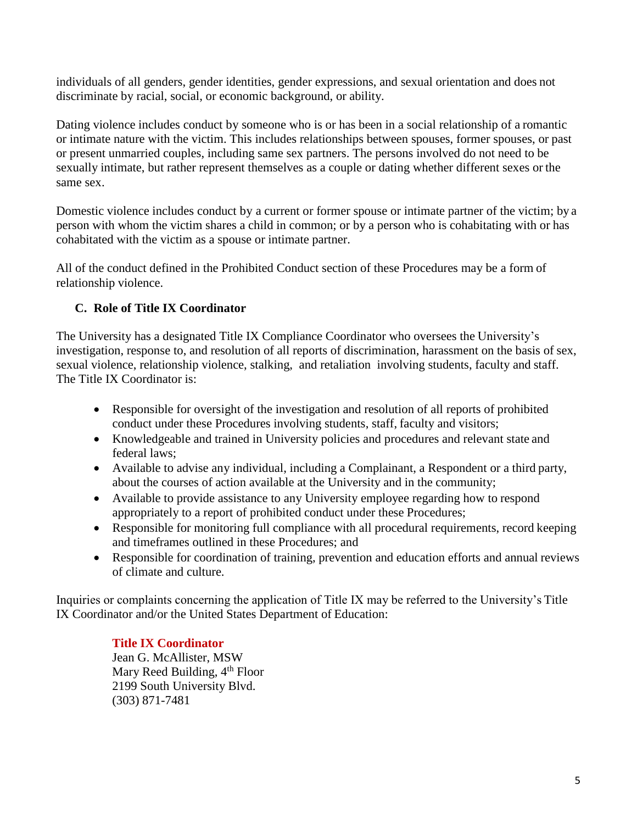individuals of all genders, gender identities, gender expressions, and sexual orientation and does not discriminate by racial, social, or economic background, or ability.

Dating violence includes conduct by someone who is or has been in a social relationship of a romantic or intimate nature with the victim. This includes relationships between spouses, former spouses, or past or present unmarried couples, including same sex partners. The persons involved do not need to be sexually intimate, but rather represent themselves as a couple or dating whether different sexes or the same sex.

Domestic violence includes conduct by a current or former spouse or intimate partner of the victim; by a person with whom the victim shares a child in common; or by a person who is cohabitating with or has cohabitated with the victim as a spouse or intimate partner.

All of the conduct defined in the Prohibited Conduct section of these Procedures may be a form of relationship violence.

## <span id="page-4-0"></span>**C. Role of Title IX Coordinator**

The University has a designated Title IX Compliance Coordinator who oversees the University's investigation, response to, and resolution of all reports of discrimination, harassment on the basis of sex, sexual violence, relationship violence, stalking, and retaliation involving students, faculty and staff. The Title IX Coordinator is:

- Responsible for oversight of the investigation and resolution of all reports of prohibited conduct under these Procedures involving students, staff, faculty and visitors;
- Knowledgeable and trained in University policies and procedures and relevant state and federal laws;
- Available to advise any individual, including a Complainant, a Respondent or a third party, about the courses of action available at the University and in the community;
- Available to provide assistance to any University employee regarding how to respond appropriately to a report of prohibited conduct under these Procedures;
- Responsible for monitoring full compliance with all procedural requirements, record keeping and timeframes outlined in these Procedures; and
- Responsible for coordination of training, prevention and education efforts and annual reviews of climate and culture.

Inquiries or complaints concerning the application of Title IX may be referred to the University's Title IX Coordinator and/or the United States Department of Education:

## **Title IX Coordinator**

Jean G. McAllister, MSW Mary Reed Building,  $4<sup>th</sup>$  Floor 2199 South University Blvd. (303) 871-7481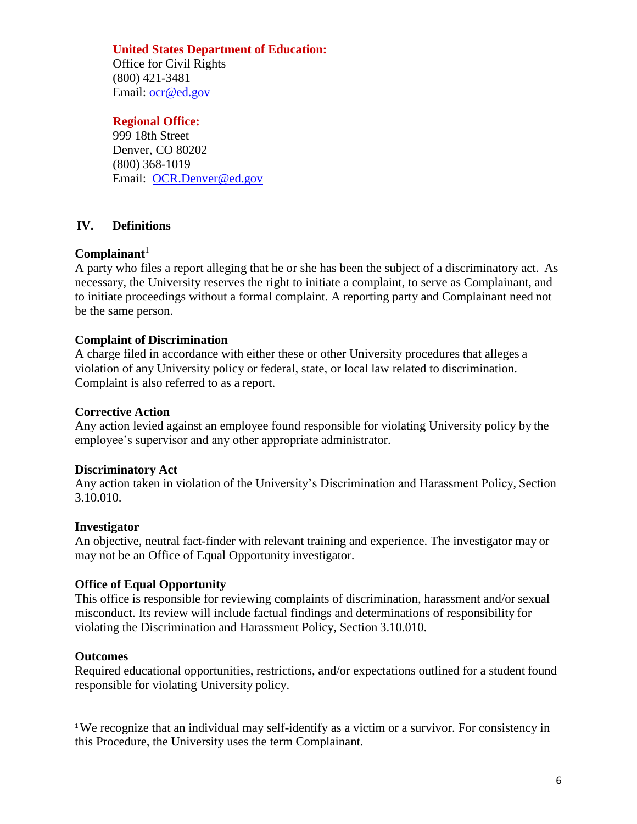### **United States Department of Education:**

Office for Civil Rights (800) 421-3481 Email: [ocr@ed.gov](mailto:ocr@ed.gov)

#### **Regional Office:**

999 18th Street Denver, CO 80202 (800) 368-1019 Email: [OCR.Denver@ed.gov](mailto:OCR.Denver@ed.gov)

### <span id="page-5-0"></span>**IV. Definitions**

### **Complainant**<sup>1</sup>

A party who files a report alleging that he or she has been the subject of a discriminatory act. As necessary, the University reserves the right to initiate a complaint, to serve as Complainant, and to initiate proceedings without a formal complaint. A reporting party and Complainant need not be the same person.

### **Complaint of Discrimination**

A charge filed in accordance with either these or other University procedures that alleges a violation of any University policy or federal, state, or local law related to discrimination. Complaint is also referred to as a report.

#### **Corrective Action**

Any action levied against an employee found responsible for violating University policy by the employee's supervisor and any other appropriate administrator.

#### **Discriminatory Act**

Any action taken in violation of the University's Discrimination and Harassment Policy, Section 3.10.010.

#### **Investigator**

An objective, neutral fact-finder with relevant training and experience. The investigator may or may not be an Office of Equal Opportunity investigator.

### **Office of Equal Opportunity**

This office is responsible for reviewing complaints of discrimination, harassment and/or sexual misconduct. Its review will include factual findings and determinations of responsibility for violating the Discrimination and Harassment Policy, Section 3.10.010.

#### **Outcomes**

Required educational opportunities, restrictions, and/or expectations outlined for a student found responsible for violating University policy.

<sup>&</sup>lt;sup>1</sup>We recognize that an individual may self-identify as a victim or a survivor. For consistency in this Procedure, the University uses the term Complainant.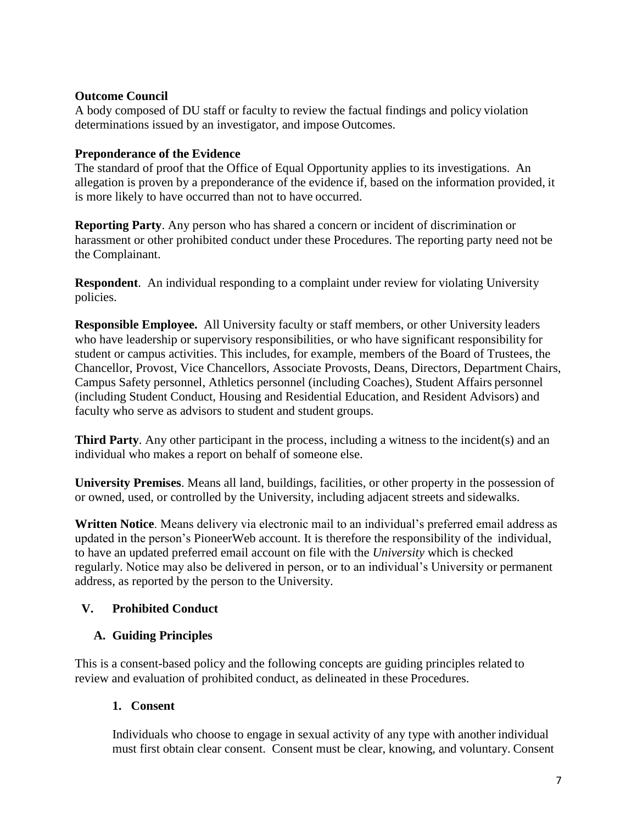### **Outcome Council**

A body composed of DU staff or faculty to review the factual findings and policy violation determinations issued by an investigator, and impose Outcomes.

### **Preponderance of the Evidence**

The standard of proof that the Office of Equal Opportunity applies to its investigations. An allegation is proven by a preponderance of the evidence if, based on the information provided, it is more likely to have occurred than not to have occurred.

**Reporting Party**. Any person who has shared a concern or incident of discrimination or harassment or other prohibited conduct under these Procedures. The reporting party need not be the Complainant.

**Respondent**. An individual responding to a complaint under review for violating University policies.

**Responsible Employee.** All University faculty or staff members, or other University leaders who have leadership or supervisory responsibilities, or who have significant responsibility for student or campus activities. This includes, for example, members of the Board of Trustees, the Chancellor, Provost, Vice Chancellors, Associate Provosts, Deans, Directors, Department Chairs, Campus Safety personnel, Athletics personnel (including Coaches), Student Affairs personnel (including Student Conduct, Housing and Residential Education, and Resident Advisors) and faculty who serve as advisors to student and student groups.

**Third Party**. Any other participant in the process, including a witness to the incident(s) and an individual who makes a report on behalf of someone else.

**University Premises**. Means all land, buildings, facilities, or other property in the possession of or owned, used, or controlled by the University, including adjacent streets and sidewalks.

**Written Notice**. Means delivery via electronic mail to an individual's preferred email address as updated in the person's PioneerWeb account. It is therefore the responsibility of the individual, to have an updated preferred email account on file with the *University* which is checked regularly. Notice may also be delivered in person, or to an individual's University or permanent address, as reported by the person to the University.

## <span id="page-6-0"></span>**V. Prohibited Conduct**

## <span id="page-6-1"></span>**A. Guiding Principles**

This is a consent-based policy and the following concepts are guiding principles related to review and evaluation of prohibited conduct, as delineated in these Procedures.

## **1. Consent**

Individuals who choose to engage in sexual activity of any type with another individual must first obtain clear consent. Consent must be clear, knowing, and voluntary. Consent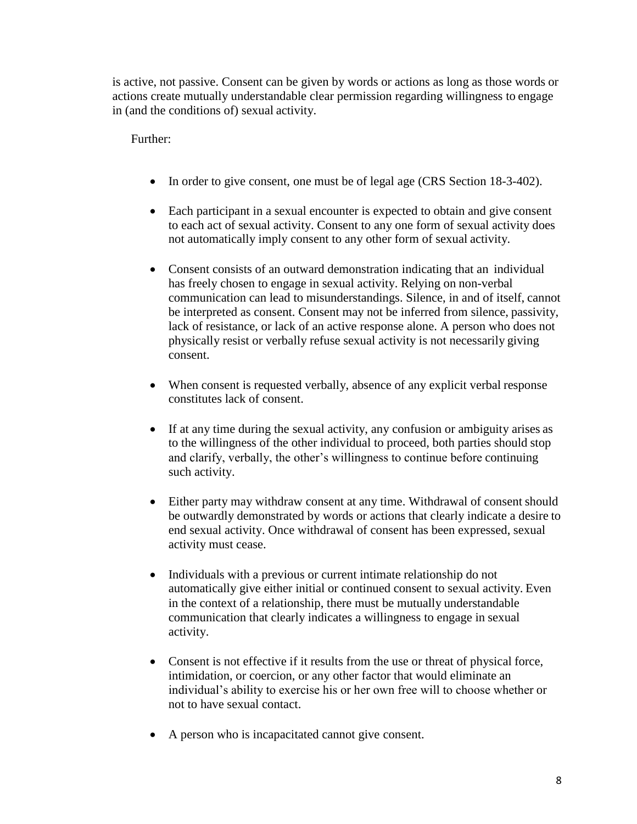is active, not passive. Consent can be given by words or actions as long as those words or actions create mutually understandable clear permission regarding willingness to engage in (and the conditions of) sexual activity.

Further:

- In order to give consent, one must be of legal age (CRS Section 18-3-402).
- Each participant in a sexual encounter is expected to obtain and give consent to each act of sexual activity. Consent to any one form of sexual activity does not automatically imply consent to any other form of sexual activity.
- Consent consists of an outward demonstration indicating that an individual has freely chosen to engage in sexual activity. Relying on non-verbal communication can lead to misunderstandings. Silence, in and of itself, cannot be interpreted as consent. Consent may not be inferred from silence, passivity, lack of resistance, or lack of an active response alone. A person who does not physically resist or verbally refuse sexual activity is not necessarily giving consent.
- When consent is requested verbally, absence of any explicit verbal response constitutes lack of consent.
- If at any time during the sexual activity, any confusion or ambiguity arises as to the willingness of the other individual to proceed, both parties should stop and clarify, verbally, the other's willingness to continue before continuing such activity.
- Either party may withdraw consent at any time. Withdrawal of consent should be outwardly demonstrated by words or actions that clearly indicate a desire to end sexual activity. Once withdrawal of consent has been expressed, sexual activity must cease.
- Individuals with a previous or current intimate relationship do not automatically give either initial or continued consent to sexual activity. Even in the context of a relationship, there must be mutually understandable communication that clearly indicates a willingness to engage in sexual activity.
- Consent is not effective if it results from the use or threat of physical force, intimidation, or coercion, or any other factor that would eliminate an individual's ability to exercise his or her own free will to choose whether or not to have sexual contact.
- A person who is incapacitated cannot give consent.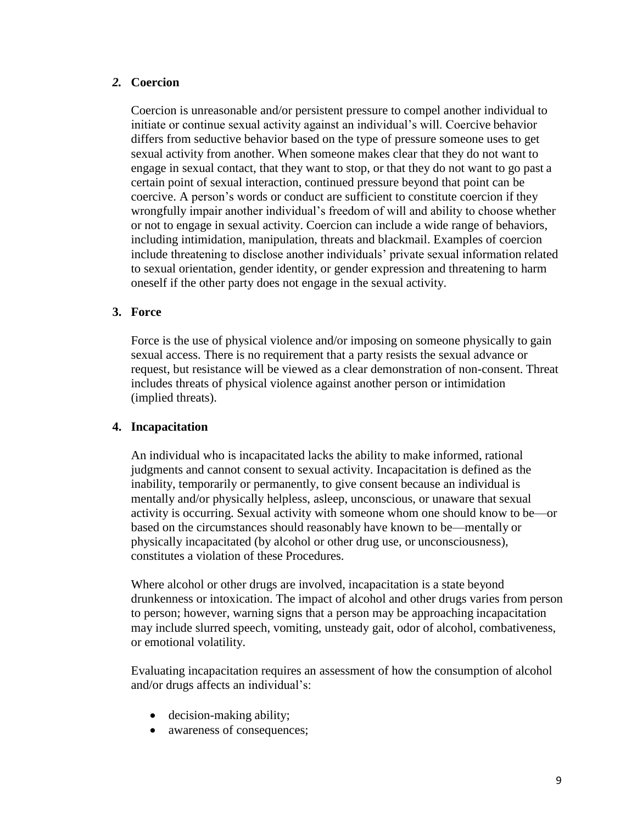## *2.* **Coercion**

Coercion is unreasonable and/or persistent pressure to compel another individual to initiate or continue sexual activity against an individual's will. Coercive behavior differs from seductive behavior based on the type of pressure someone uses to get sexual activity from another. When someone makes clear that they do not want to engage in sexual contact, that they want to stop, or that they do not want to go past a certain point of sexual interaction, continued pressure beyond that point can be coercive. A person's words or conduct are sufficient to constitute coercion if they wrongfully impair another individual's freedom of will and ability to choose whether or not to engage in sexual activity. Coercion can include a wide range of behaviors, including intimidation, manipulation, threats and blackmail. Examples of coercion include threatening to disclose another individuals' private sexual information related to sexual orientation, gender identity, or gender expression and threatening to harm oneself if the other party does not engage in the sexual activity.

### **3. Force**

Force is the use of physical violence and/or imposing on someone physically to gain sexual access. There is no requirement that a party resists the sexual advance or request, but resistance will be viewed as a clear demonstration of non-consent. Threat includes threats of physical violence against another person or intimidation (implied threats).

### **4. Incapacitation**

An individual who is incapacitated lacks the ability to make informed, rational judgments and cannot consent to sexual activity. Incapacitation is defined as the inability, temporarily or permanently, to give consent because an individual is mentally and/or physically helpless, asleep, unconscious, or unaware that sexual activity is occurring. Sexual activity with someone whom one should know to be—or based on the circumstances should reasonably have known to be—mentally or physically incapacitated (by alcohol or other drug use, or unconsciousness), constitutes a violation of these Procedures.

Where alcohol or other drugs are involved, incapacitation is a state beyond drunkenness or intoxication. The impact of alcohol and other drugs varies from person to person; however, warning signs that a person may be approaching incapacitation may include slurred speech, vomiting, unsteady gait, odor of alcohol, combativeness, or emotional volatility.

Evaluating incapacitation requires an assessment of how the consumption of alcohol and/or drugs affects an individual's:

- decision-making ability;
- awareness of consequences;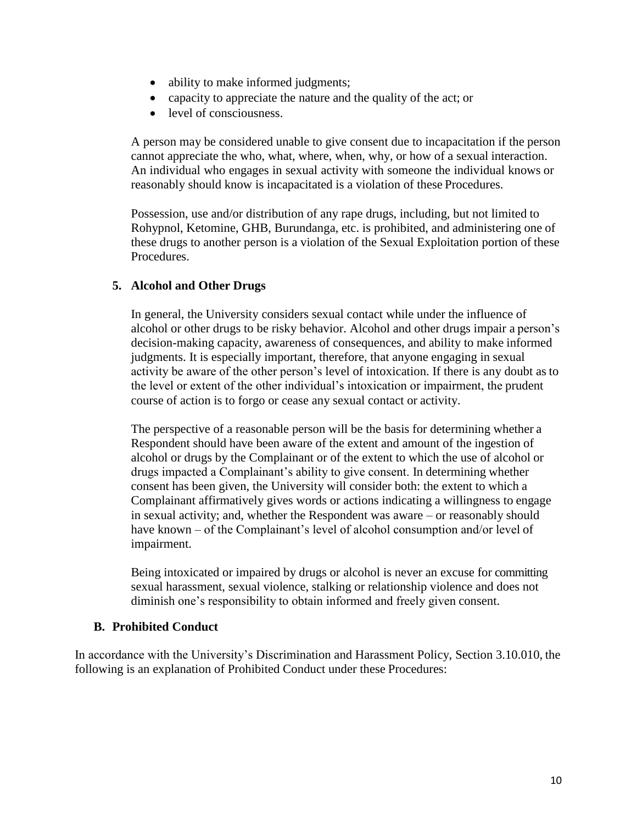- ability to make informed judgments;
- capacity to appreciate the nature and the quality of the act; or
- level of consciousness.

A person may be considered unable to give consent due to incapacitation if the person cannot appreciate the who, what, where, when, why, or how of a sexual interaction. An individual who engages in sexual activity with someone the individual knows or reasonably should know is incapacitated is a violation of these Procedures.

Possession, use and/or distribution of any rape drugs, including, but not limited to Rohypnol, Ketomine, GHB, Burundanga, etc. is prohibited, and administering one of these drugs to another person is a violation of the Sexual Exploitation portion of these Procedures.

## **5. Alcohol and Other Drugs**

In general, the University considers sexual contact while under the influence of alcohol or other drugs to be risky behavior. Alcohol and other drugs impair a person's decision-making capacity, awareness of consequences, and ability to make informed judgments. It is especially important, therefore, that anyone engaging in sexual activity be aware of the other person's level of intoxication. If there is any doubt as to the level or extent of the other individual's intoxication or impairment, the prudent course of action is to forgo or cease any sexual contact or activity.

The perspective of a reasonable person will be the basis for determining whether a Respondent should have been aware of the extent and amount of the ingestion of alcohol or drugs by the Complainant or of the extent to which the use of alcohol or drugs impacted a Complainant's ability to give consent. In determining whether consent has been given, the University will consider both: the extent to which a Complainant affirmatively gives words or actions indicating a willingness to engage in sexual activity; and, whether the Respondent was aware – or reasonably should have known – of the Complainant's level of alcohol consumption and/or level of impairment.

Being intoxicated or impaired by drugs or alcohol is never an excuse for committing sexual harassment, sexual violence, stalking or relationship violence and does not diminish one's responsibility to obtain informed and freely given consent.

## <span id="page-9-0"></span>**B. Prohibited Conduct**

In accordance with the University's Discrimination and Harassment Policy, Section 3.10.010, the following is an explanation of Prohibited Conduct under these Procedures: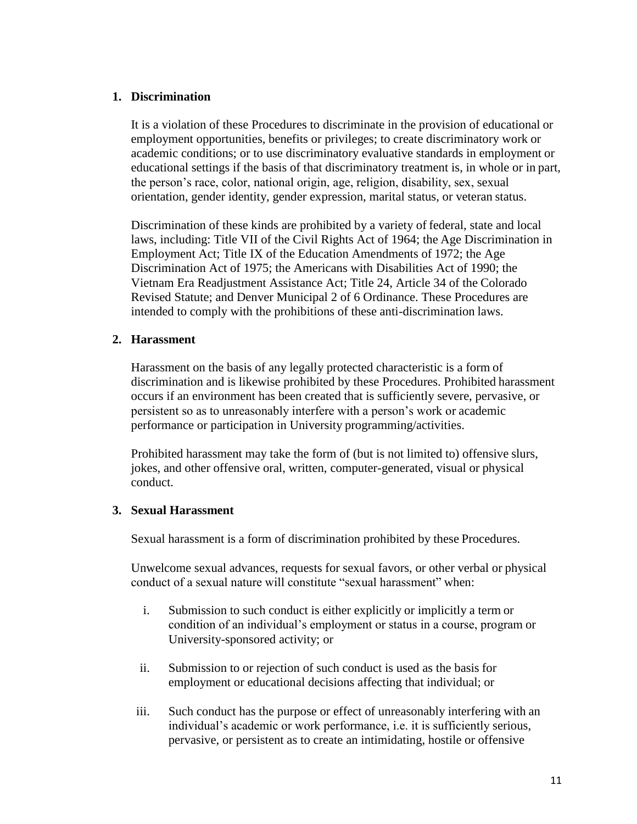### **1. Discrimination**

It is a violation of these Procedures to discriminate in the provision of educational or employment opportunities, benefits or privileges; to create discriminatory work or academic conditions; or to use discriminatory evaluative standards in employment or educational settings if the basis of that discriminatory treatment is, in whole or in part, the person's race, color, national origin, age, religion, disability, sex, sexual orientation, gender identity, gender expression, marital status, or veteran status.

Discrimination of these kinds are prohibited by a variety of federal, state and local laws, including: Title VII of the Civil Rights Act of 1964; the Age Discrimination in Employment Act; Title IX of the Education Amendments of 1972; the Age Discrimination Act of 1975; the Americans with Disabilities Act of 1990; the Vietnam Era Readjustment Assistance Act; Title 24, Article 34 of the Colorado Revised Statute; and Denver Municipal 2 of 6 Ordinance. These Procedures are intended to comply with the prohibitions of these anti-discrimination laws.

### **2. Harassment**

Harassment on the basis of any legally protected characteristic is a form of discrimination and is likewise prohibited by these Procedures. Prohibited harassment occurs if an environment has been created that is sufficiently severe, pervasive, or persistent so as to unreasonably interfere with a person's work or academic performance or participation in University programming/activities.

Prohibited harassment may take the form of (but is not limited to) offensive slurs, jokes, and other offensive oral, written, computer-generated, visual or physical conduct.

### **3. Sexual Harassment**

Sexual harassment is a form of discrimination prohibited by these Procedures.

Unwelcome sexual advances, requests for sexual favors, or other verbal or physical conduct of a sexual nature will constitute "sexual harassment" when:

- i. Submission to such conduct is either explicitly or implicitly a term or condition of an individual's employment or status in a course, program or University-sponsored activity; or
- ii. Submission to or rejection of such conduct is used as the basis for employment or educational decisions affecting that individual; or
- iii. Such conduct has the purpose or effect of unreasonably interfering with an individual's academic or work performance, i.e. it is sufficiently serious, pervasive, or persistent as to create an intimidating, hostile or offensive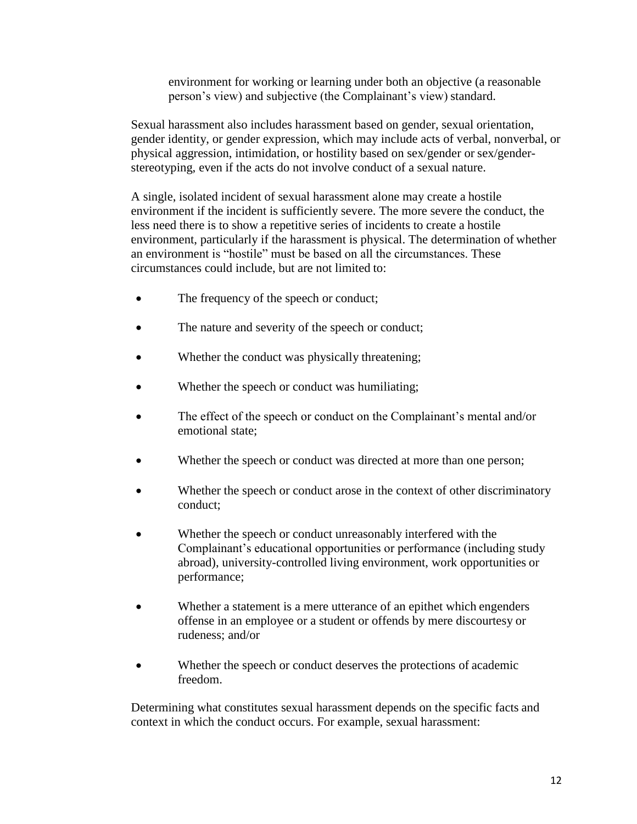environment for working or learning under both an objective (a reasonable person's view) and subjective (the Complainant's view) standard.

Sexual harassment also includes harassment based on gender, sexual orientation, gender identity, or gender expression, which may include acts of verbal, nonverbal, or physical aggression, intimidation, or hostility based on sex/gender or sex/genderstereotyping, even if the acts do not involve conduct of a sexual nature.

A single, isolated incident of sexual harassment alone may create a hostile environment if the incident is sufficiently severe. The more severe the conduct, the less need there is to show a repetitive series of incidents to create a hostile environment, particularly if the harassment is physical. The determination of whether an environment is "hostile" must be based on all the circumstances. These circumstances could include, but are not limited to:

- The frequency of the speech or conduct;
- The nature and severity of the speech or conduct;
- Whether the conduct was physically threatening;
- Whether the speech or conduct was humiliating;
- The effect of the speech or conduct on the Complainant's mental and/or emotional state;
- Whether the speech or conduct was directed at more than one person;
- Whether the speech or conduct arose in the context of other discriminatory conduct;
- Whether the speech or conduct unreasonably interfered with the Complainant's educational opportunities or performance (including study abroad), university-controlled living environment, work opportunities or performance;
- Whether a statement is a mere utterance of an epithet which engenders offense in an employee or a student or offends by mere discourtesy or rudeness; and/or
- Whether the speech or conduct deserves the protections of academic freedom.

Determining what constitutes sexual harassment depends on the specific facts and context in which the conduct occurs. For example, sexual harassment: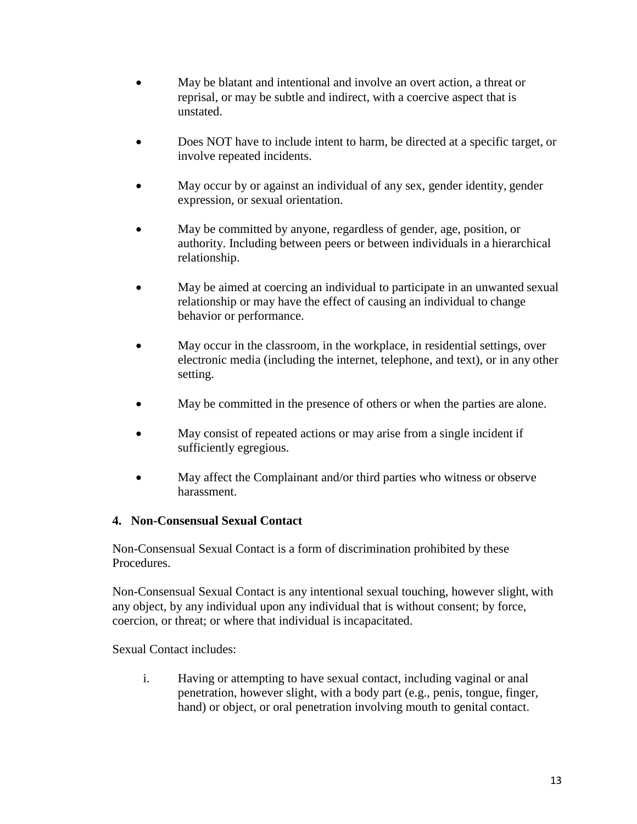- May be blatant and intentional and involve an overt action, a threat or reprisal, or may be subtle and indirect, with a coercive aspect that is unstated.
- Does NOT have to include intent to harm, be directed at a specific target, or involve repeated incidents.
- May occur by or against an individual of any sex, gender identity, gender expression, or sexual orientation.
- May be committed by anyone, regardless of gender, age, position, or authority. Including between peers or between individuals in a hierarchical relationship.
- May be aimed at coercing an individual to participate in an unwanted sexual relationship or may have the effect of causing an individual to change behavior or performance.
- May occur in the classroom, in the workplace, in residential settings, over electronic media (including the internet, telephone, and text), or in any other setting.
- May be committed in the presence of others or when the parties are alone.
- May consist of repeated actions or may arise from a single incident if sufficiently egregious.
- May affect the Complainant and/or third parties who witness or observe harassment.

## **4. Non-Consensual Sexual Contact**

Non-Consensual Sexual Contact is a form of discrimination prohibited by these Procedures.

Non-Consensual Sexual Contact is any intentional sexual touching, however slight, with any object, by any individual upon any individual that is without consent; by force, coercion, or threat; or where that individual is incapacitated.

Sexual Contact includes:

i. Having or attempting to have sexual contact, including vaginal or anal penetration, however slight, with a body part (e.g., penis, tongue, finger, hand) or object, or oral penetration involving mouth to genital contact.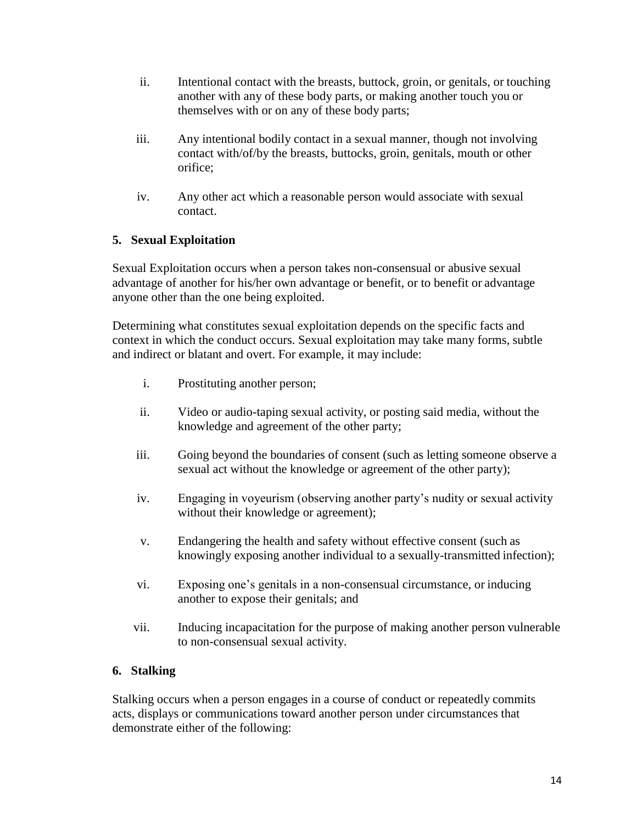- ii. Intentional contact with the breasts, buttock, groin, or genitals, or touching another with any of these body parts, or making another touch you or themselves with or on any of these body parts;
- iii. Any intentional bodily contact in a sexual manner, though not involving contact with/of/by the breasts, buttocks, groin, genitals, mouth or other orifice;
- iv. Any other act which a reasonable person would associate with sexual contact.

## **5. Sexual Exploitation**

Sexual Exploitation occurs when a person takes non-consensual or abusive sexual advantage of another for his/her own advantage or benefit, or to benefit or advantage anyone other than the one being exploited.

Determining what constitutes sexual exploitation depends on the specific facts and context in which the conduct occurs. Sexual exploitation may take many forms, subtle and indirect or blatant and overt. For example, it may include:

- i. Prostituting another person;
- ii. Video or audio-taping sexual activity, or posting said media, without the knowledge and agreement of the other party;
- iii. Going beyond the boundaries of consent (such as letting someone observe a sexual act without the knowledge or agreement of the other party);
- iv. Engaging in voyeurism (observing another party's nudity or sexual activity without their knowledge or agreement);
- v. Endangering the health and safety without effective consent (such as knowingly exposing another individual to a sexually-transmitted infection);
- vi. Exposing one's genitals in a non-consensual circumstance, or inducing another to expose their genitals; and
- vii. Inducing incapacitation for the purpose of making another person vulnerable to non-consensual sexual activity.

## **6. Stalking**

Stalking occurs when a person engages in a course of conduct or repeatedly commits acts, displays or communications toward another person under circumstances that demonstrate either of the following: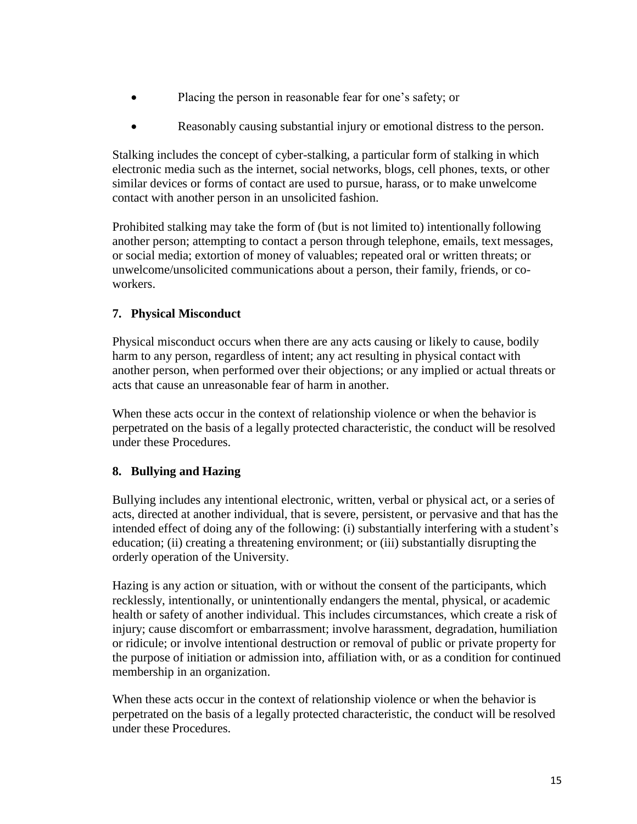- Placing the person in reasonable fear for one's safety; or
- Reasonably causing substantial injury or emotional distress to the person.

Stalking includes the concept of cyber-stalking, a particular form of stalking in which electronic media such as the internet, social networks, blogs, cell phones, texts, or other similar devices or forms of contact are used to pursue, harass, or to make unwelcome contact with another person in an unsolicited fashion.

Prohibited stalking may take the form of (but is not limited to) intentionally following another person; attempting to contact a person through telephone, emails, text messages, or social media; extortion of money of valuables; repeated oral or written threats; or unwelcome/unsolicited communications about a person, their family, friends, or coworkers.

## **7. Physical Misconduct**

Physical misconduct occurs when there are any acts causing or likely to cause, bodily harm to any person, regardless of intent; any act resulting in physical contact with another person, when performed over their objections; or any implied or actual threats or acts that cause an unreasonable fear of harm in another.

When these acts occur in the context of relationship violence or when the behavior is perpetrated on the basis of a legally protected characteristic, the conduct will be resolved under these Procedures.

## **8. Bullying and Hazing**

Bullying includes any intentional electronic, written, verbal or physical act, or a series of acts, directed at another individual, that is severe, persistent, or pervasive and that has the intended effect of doing any of the following: (i) substantially interfering with a student's education; (ii) creating a threatening environment; or (iii) substantially disrupting the orderly operation of the University.

Hazing is any action or situation, with or without the consent of the participants, which recklessly, intentionally, or unintentionally endangers the mental, physical, or academic health or safety of another individual. This includes circumstances, which create a risk of injury; cause discomfort or embarrassment; involve harassment, degradation, humiliation or ridicule; or involve intentional destruction or removal of public or private property for the purpose of initiation or admission into, affiliation with, or as a condition for continued membership in an organization.

When these acts occur in the context of relationship violence or when the behavior is perpetrated on the basis of a legally protected characteristic, the conduct will be resolved under these Procedures.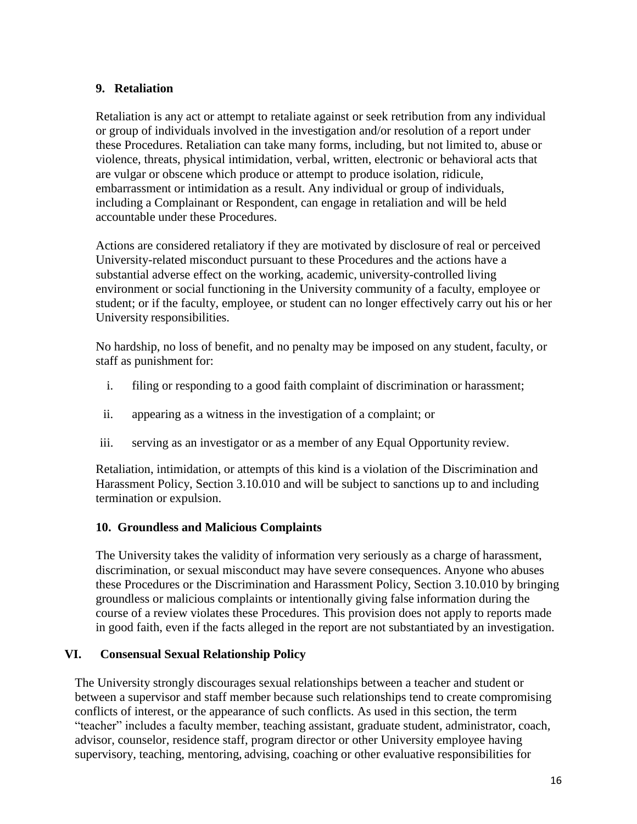## **9. Retaliation**

Retaliation is any act or attempt to retaliate against or seek retribution from any individual or group of individuals involved in the investigation and/or resolution of a report under these Procedures. Retaliation can take many forms, including, but not limited to, abuse or violence, threats, physical intimidation, verbal, written, electronic or behavioral acts that are vulgar or obscene which produce or attempt to produce isolation, ridicule, embarrassment or intimidation as a result. Any individual or group of individuals, including a Complainant or Respondent, can engage in retaliation and will be held accountable under these Procedures.

Actions are considered retaliatory if they are motivated by disclosure of real or perceived University-related misconduct pursuant to these Procedures and the actions have a substantial adverse effect on the working, academic, university-controlled living environment or social functioning in the University community of a faculty, employee or student; or if the faculty, employee, or student can no longer effectively carry out his or her University responsibilities.

No hardship, no loss of benefit, and no penalty may be imposed on any student, faculty, or staff as punishment for:

- i. filing or responding to a good faith complaint of discrimination or harassment;
- ii. appearing as a witness in the investigation of a complaint; or
- iii. serving as an investigator or as a member of any Equal Opportunity review.

Retaliation, intimidation, or attempts of this kind is a violation of the Discrimination and Harassment Policy, Section 3.10.010 and will be subject to sanctions up to and including termination or expulsion.

## **10. Groundless and Malicious Complaints**

<span id="page-15-0"></span>The University takes the validity of information very seriously as a charge of harassment, discrimination, or sexual misconduct may have severe consequences. Anyone who abuses these Procedures or the Discrimination and Harassment Policy, Section 3.10.010 by bringing groundless or malicious complaints or intentionally giving false information during the course of a review violates these Procedures. This provision does not apply to reports made in good faith, even if the facts alleged in the report are not substantiated by an investigation.

## **VI. Consensual Sexual Relationship Policy**

The University strongly discourages sexual relationships between a teacher and student or between a supervisor and staff member because such relationships tend to create compromising conflicts of interest, or the appearance of such conflicts. As used in this section, the term "teacher" includes a faculty member, teaching assistant, graduate student, administrator, coach, advisor, counselor, residence staff, program director or other University employee having supervisory, teaching, mentoring, advising, coaching or other evaluative responsibilities for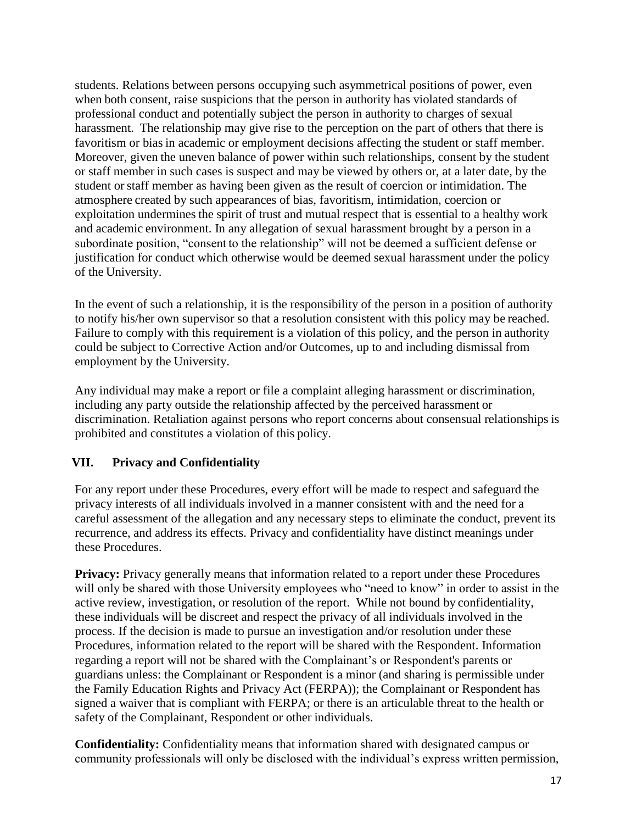students. Relations between persons occupying such asymmetrical positions of power, even when both consent, raise suspicions that the person in authority has violated standards of professional conduct and potentially subject the person in authority to charges of sexual harassment. The relationship may give rise to the perception on the part of others that there is favoritism or bias in academic or employment decisions affecting the student or staff member. Moreover, given the uneven balance of power within such relationships, consent by the student or staff member in such cases is suspect and may be viewed by others or, at a later date, by the student orstaff member as having been given as the result of coercion or intimidation. The atmosphere created by such appearances of bias, favoritism, intimidation, coercion or exploitation undermines the spirit of trust and mutual respect that is essential to a healthy work and academic environment. In any allegation of sexual harassment brought by a person in a subordinate position, "consent to the relationship" will not be deemed a sufficient defense or justification for conduct which otherwise would be deemed sexual harassment under the policy of the University.

In the event of such a relationship, it is the responsibility of the person in a position of authority to notify his/her own supervisor so that a resolution consistent with this policy may be reached. Failure to comply with this requirement is a violation of this policy, and the person in authority could be subject to Corrective Action and/or Outcomes, up to and including dismissal from employment by the University.

Any individual may make a report or file a complaint alleging harassment or discrimination, including any party outside the relationship affected by the perceived harassment or discrimination. Retaliation against persons who report concerns about consensual relationships is prohibited and constitutes a violation of this policy.

## <span id="page-16-0"></span>**VII. Privacy and Confidentiality**

For any report under these Procedures, every effort will be made to respect and safeguard the privacy interests of all individuals involved in a manner consistent with and the need for a careful assessment of the allegation and any necessary steps to eliminate the conduct, prevent its recurrence, and address its effects. Privacy and confidentiality have distinct meanings under these Procedures.

**Privacy:** Privacy generally means that information related to a report under these Procedures will only be shared with those University employees who "need to know" in order to assist in the active review, investigation, or resolution of the report. While not bound by confidentiality, these individuals will be discreet and respect the privacy of all individuals involved in the process. If the decision is made to pursue an investigation and/or resolution under these Procedures, information related to the report will be shared with the Respondent. Information regarding a report will not be shared with the Complainant's or Respondent's parents or guardians unless: the Complainant or Respondent is a minor (and sharing is permissible under the Family Education Rights and Privacy Act (FERPA)); the Complainant or Respondent has signed a waiver that is compliant with FERPA; or there is an articulable threat to the health or safety of the Complainant, Respondent or other individuals.

**Confidentiality:** Confidentiality means that information shared with designated campus or community professionals will only be disclosed with the individual's express written permission,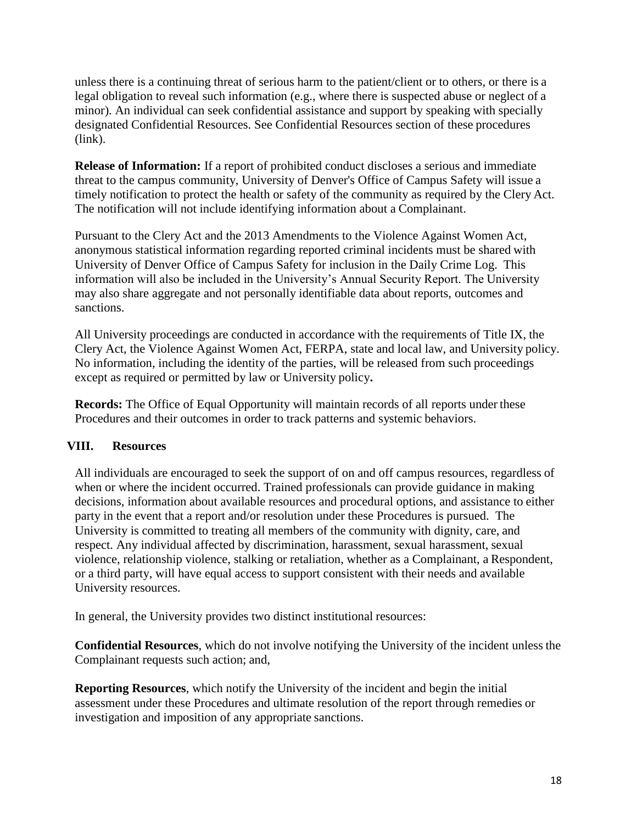unless there is a continuing threat of serious harm to the patient/client or to others, or there is a legal obligation to reveal such information (e.g., where there is suspected abuse or neglect of a minor). An individual can seek confidential assistance and support by speaking with specially designated Confidential Resources. See Confidential Resources section of these procedures (link).

**Release of Information:** If a report of prohibited conduct discloses a serious and immediate threat to the campus community, University of Denver's Office of Campus Safety will issue a timely notification to protect the health or safety of the community as required by the Clery Act. The notification will not include identifying information about a Complainant.

Pursuant to the Clery Act and the 2013 Amendments to the Violence Against Women Act, anonymous statistical information regarding reported criminal incidents must be shared with University of Denver Office of Campus Safety for inclusion in the Daily Crime Log. This information will also be included in the University's Annual Security Report. The University may also share aggregate and not personally identifiable data about reports, outcomes and sanctions.

All University proceedings are conducted in accordance with the requirements of Title IX, the Clery Act, the Violence Against Women Act, FERPA, state and local law, and University policy. No information, including the identity of the parties, will be released from such proceedings except as required or permitted by law or University policy**.**

**Records:** The Office of Equal Opportunity will maintain records of all reports under these Procedures and their outcomes in order to track patterns and systemic behaviors.

## <span id="page-17-0"></span>**VIII. Resources**

All individuals are encouraged to seek the support of on and off campus resources, regardless of when or where the incident occurred. Trained professionals can provide guidance in making decisions, information about available resources and procedural options, and assistance to either party in the event that a report and/or resolution under these Procedures is pursued. The University is committed to treating all members of the community with dignity, care, and respect. Any individual affected by discrimination, harassment, sexual harassment, sexual violence, relationship violence, stalking or retaliation, whether as a Complainant, a Respondent, or a third party, will have equal access to support consistent with their needs and available University resources.

In general, the University provides two distinct institutional resources:

**Confidential Resources**, which do not involve notifying the University of the incident unless the Complainant requests such action; and,

**Reporting Resources**, which notify the University of the incident and begin the initial assessment under these Procedures and ultimate resolution of the report through remedies or investigation and imposition of any appropriate sanctions.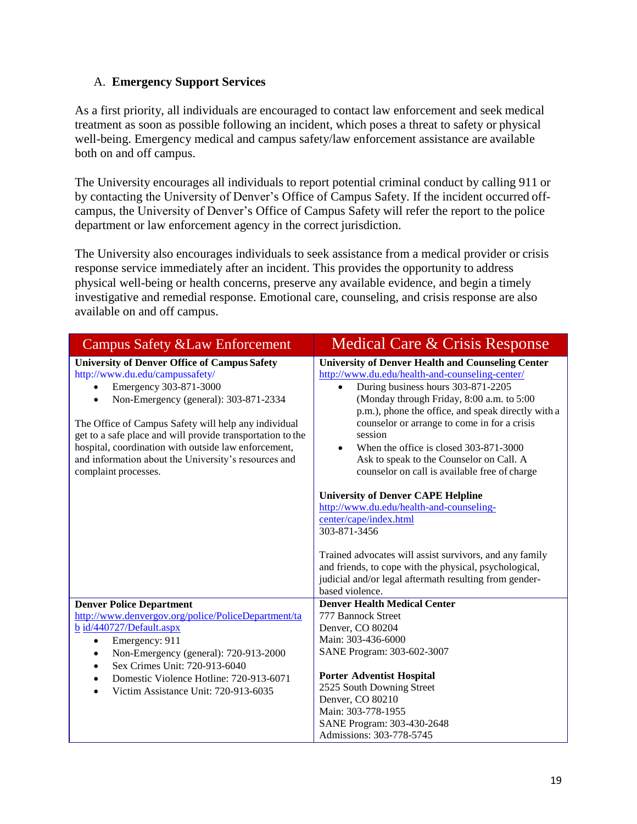## <span id="page-18-0"></span>A. **Emergency Support Services**

As a first priority, all individuals are encouraged to contact law enforcement and seek medical treatment as soon as possible following an incident, which poses a threat to safety or physical well-being. Emergency medical and campus safety/law enforcement assistance are available both on and off campus.

The University encourages all individuals to report potential criminal conduct by calling 911 or by contacting the University of Denver's Office of Campus Safety. If the incident occurred offcampus, the University of Denver's Office of Campus Safety will refer the report to the police department or law enforcement agency in the correct jurisdiction.

The University also encourages individuals to seek assistance from a medical provider or crisis response service immediately after an incident. This provides the opportunity to address physical well-being or health concerns, preserve any available evidence, and begin a timely investigative and remedial response. Emotional care, counseling, and crisis response are also available on and off campus.

| <b>Campus Safety &amp; Law Enforcement</b>                                                                                                                                                                                                                                                                                                                                                                                           | Medical Care & Crisis Response                                                                                                                                                                                                                                                                                                                                                                                                                         |
|--------------------------------------------------------------------------------------------------------------------------------------------------------------------------------------------------------------------------------------------------------------------------------------------------------------------------------------------------------------------------------------------------------------------------------------|--------------------------------------------------------------------------------------------------------------------------------------------------------------------------------------------------------------------------------------------------------------------------------------------------------------------------------------------------------------------------------------------------------------------------------------------------------|
| <b>University of Denver Office of Campus Safety</b><br>http://www.du.edu/campussafety/<br>Emergency 303-871-3000<br>Non-Emergency (general): 303-871-2334<br>$\bullet$<br>The Office of Campus Safety will help any individual<br>get to a safe place and will provide transportation to the<br>hospital, coordination with outside law enforcement,<br>and information about the University's resources and<br>complaint processes. | <b>University of Denver Health and Counseling Center</b><br>http://www.du.edu/health-and-counseling-center/<br>During business hours 303-871-2205<br>(Monday through Friday, 8:00 a.m. to 5:00<br>p.m.), phone the office, and speak directly with a<br>counselor or arrange to come in for a crisis<br>session<br>When the office is closed 303-871-3000<br>Ask to speak to the Counselor on Call. A<br>counselor on call is available free of charge |
|                                                                                                                                                                                                                                                                                                                                                                                                                                      | <b>University of Denver CAPE Helpline</b><br>http://www.du.edu/health-and-counseling-<br>center/cape/index.html<br>303-871-3456<br>Trained advocates will assist survivors, and any family<br>and friends, to cope with the physical, psychological,<br>judicial and/or legal aftermath resulting from gender-<br>based violence.                                                                                                                      |
| <b>Denver Police Department</b><br>http://www.denvergov.org/police/PoliceDepartment/ta<br>b id/440727/Default.aspx<br>Emergency: 911<br>$\bullet$<br>Non-Emergency (general): 720-913-2000<br>$\bullet$<br>Sex Crimes Unit: 720-913-6040<br>Domestic Violence Hotline: 720-913-6071<br>Victim Assistance Unit: 720-913-6035                                                                                                          | <b>Denver Health Medical Center</b><br>777 Bannock Street<br>Denver, CO 80204<br>Main: 303-436-6000<br>SANE Program: 303-602-3007<br><b>Porter Adventist Hospital</b><br>2525 South Downing Street<br>Denver, CO 80210<br>Main: 303-778-1955<br>SANE Program: 303-430-2648<br>Admissions: 303-778-5745                                                                                                                                                 |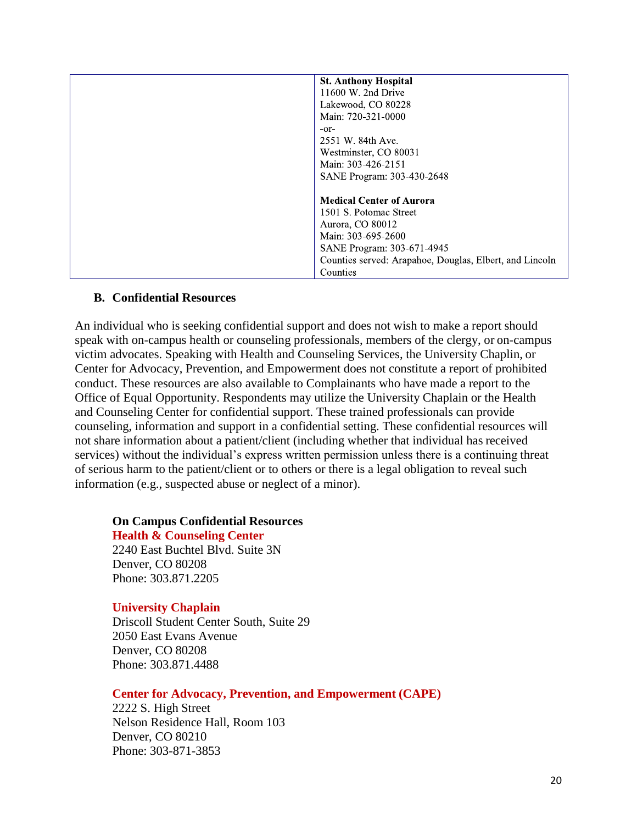| <b>St. Anthony Hospital</b>                             |
|---------------------------------------------------------|
| 11600 W. 2nd Drive                                      |
| Lakewood, CO 80228                                      |
| Main: 720-321-0000                                      |
| $-0r$                                                   |
| 2551 W. 84th Ave.                                       |
| Westminster, CO 80031                                   |
| Main: 303-426-2151                                      |
| SANE Program: 303-430-2648                              |
|                                                         |
| <b>Medical Center of Aurora</b>                         |
| 1501 S. Potomac Street                                  |
| Aurora, CO 80012                                        |
| Main: 303-695-2600                                      |
| SANE Program: 303-671-4945                              |
| Counties served: Arapahoe, Douglas, Elbert, and Lincoln |
| Counties                                                |

### <span id="page-19-0"></span>**B. Confidential Resources**

An individual who is seeking confidential support and does not wish to make a report should speak with on-campus health or counseling professionals, members of the clergy, or on-campus victim advocates. Speaking with Health and Counseling Services, the University Chaplin, or Center for Advocacy, Prevention, and Empowerment does not constitute a report of prohibited conduct. These resources are also available to Complainants who have made a report to the Office of Equal Opportunity. Respondents may utilize the University Chaplain or the Health and Counseling Center for confidential support. These trained professionals can provide counseling, information and support in a confidential setting. These confidential resources will not share information about a patient/client (including whether that individual has received services) without the individual's express written permission unless there is a continuing threat of serious harm to the patient/client or to others or there is a legal obligation to reveal such information (e.g., suspected abuse or neglect of a minor).

# **On Campus Confidential Resources**

### **Health & Counseling Center**

2240 East Buchtel Blvd. Suite 3N Denver, CO 80208 Phone: 303.871.2205

### **University Chaplain**

Driscoll Student Center South, Suite 29 2050 East Evans Avenue Denver, CO 80208 Phone: 303.871.4488

### **Center for Advocacy, Prevention, and Empowerment (CAPE)**

2222 S. High Street Nelson Residence Hall, Room 103 Denver, CO 80210 Phone: 303-871-3853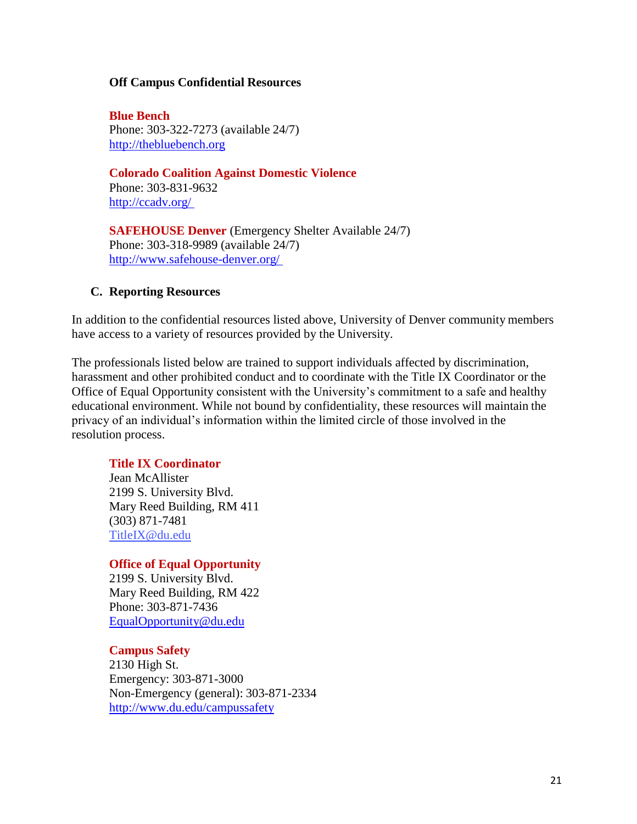#### **Off Campus Confidential Resources**

**Blue Bench** Phone: 303-322-7273 (available 24/7) [http://thebluebench.org](http://thebluebench.org/)

**Colorado Coalition Against Domestic Violence** Phone: 303-831-9632

<http://ccadv.org/>

**SAFEHOUSE Denver** (Emergency Shelter Available 24/7) Phone: 303-318-9989 (available 24/7) <http://www.safehouse-denver.org/>

### <span id="page-20-0"></span>**C. Reporting Resources**

In addition to the confidential resources listed above, University of Denver community members have access to a variety of resources provided by the University.

The professionals listed below are trained to support individuals affected by discrimination, harassment and other prohibited conduct and to coordinate with the Title IX Coordinator or the Office of Equal Opportunity consistent with the University's commitment to a safe and healthy educational environment. While not bound by confidentiality, these resources will maintain the privacy of an individual's information within the limited circle of those involved in the resolution process.

## **Title IX Coordinator**

Jean McAllister 2199 S. University Blvd. Mary Reed Building, RM 411 (303) 871-7481 [TitleIX@du.edu](mailto:jean.mcallister@du.edu)

### **Office of Equal Opportunity**

2199 S. University Blvd. Mary Reed Building, RM 422 Phone: 303-871-7436 [EqualOpportunity@du.edu](mailto:Kathryne.Grove@du.edu)

### **Campus Safety**

2130 High St. Emergency: 303-871-3000 Non-Emergency (general): 303-871-2334 <http://www.du.edu/campussafety>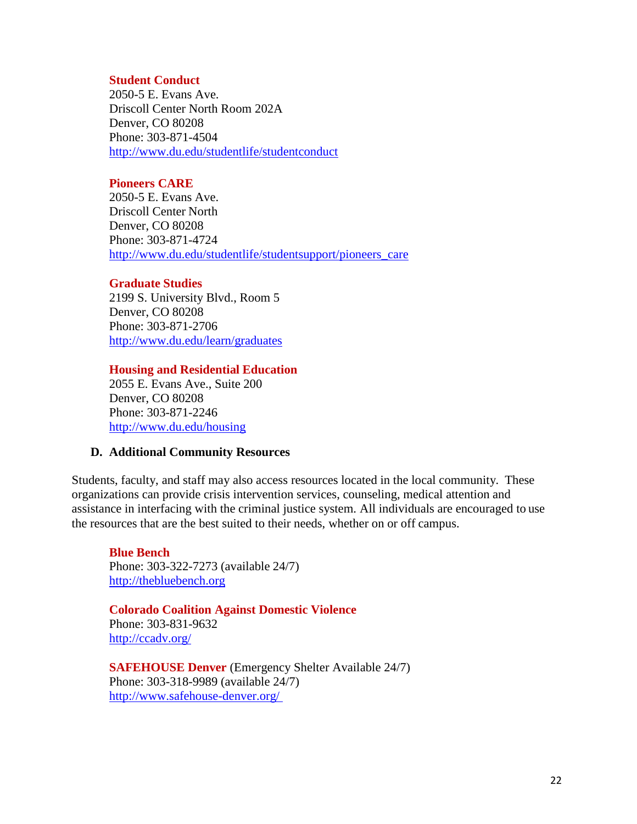#### **Student Conduct**

2050-5 E. Evans Ave. Driscoll Center North Room 202A Denver, CO 80208 Phone: 303-871-4504 <http://www.du.edu/studentlife/studentconduct>

### **Pioneers CARE**

2050-5 E. Evans Ave. Driscoll Center North Denver, CO 80208 Phone: 303-871-4724 [http://www.du.edu/studentlife/studentsupport/pioneers\\_care](http://www.du.edu/studentlife/studentsupport/pioneers_care)

#### **Graduate Studies**

2199 S. University Blvd., Room 5 Denver, CO 80208 Phone: 303-871-2706 <http://www.du.edu/learn/graduates>

#### **Housing and Residential Education**

2055 E. Evans Ave., Suite 200 Denver, CO 80208 Phone: 303-871-2246 <http://www.du.edu/housing>

### <span id="page-21-0"></span>**D. Additional Community Resources**

Students, faculty, and staff may also access resources located in the local community. These organizations can provide crisis intervention services, counseling, medical attention and assistance in interfacing with the criminal justice system. All individuals are encouraged to use the resources that are the best suited to their needs, whether on or off campus.

**Blue Bench** Phone: 303-322-7273 (available 24/7) [http://thebluebench.org](http://thebluebench.org/)

### **Colorado Coalition Against Domestic Violence**

Phone: 303-831-9632 <http://ccadv.org/>

**SAFEHOUSE Denver** (Emergency Shelter Available 24/7) Phone: 303-318-9989 (available 24/7) <http://www.safehouse-denver.org/>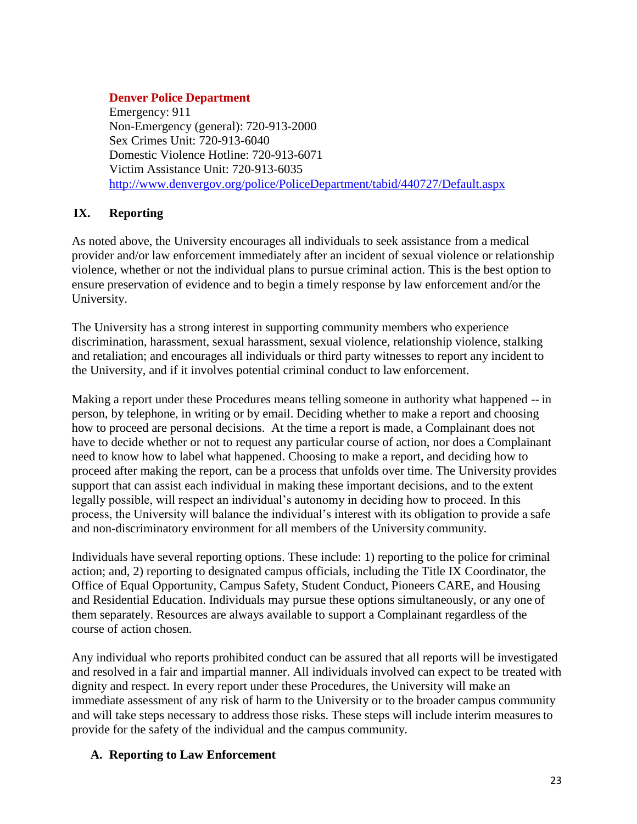## **Denver Police Department**

Emergency: 911 Non-Emergency (general): 720-913-2000 Sex Crimes Unit: 720-913-6040 Domestic Violence Hotline: 720-913-6071 Victim Assistance Unit: 720-913-6035 <http://www.denvergov.org/police/PoliceDepartment/tabid/440727/Default.aspx>

## <span id="page-22-0"></span>**IX. Reporting**

As noted above, the University encourages all individuals to seek assistance from a medical provider and/or law enforcement immediately after an incident of sexual violence or relationship violence, whether or not the individual plans to pursue criminal action. This is the best option to ensure preservation of evidence and to begin a timely response by law enforcement and/or the University.

The University has a strong interest in supporting community members who experience discrimination, harassment, sexual harassment, sexual violence, relationship violence, stalking and retaliation; and encourages all individuals or third party witnesses to report any incident to the University, and if it involves potential criminal conduct to law enforcement.

Making a report under these Procedures means telling someone in authority what happened -- in person, by telephone, in writing or by email. Deciding whether to make a report and choosing how to proceed are personal decisions. At the time a report is made, a Complainant does not have to decide whether or not to request any particular course of action, nor does a Complainant need to know how to label what happened. Choosing to make a report, and deciding how to proceed after making the report, can be a process that unfolds over time. The University provides support that can assist each individual in making these important decisions, and to the extent legally possible, will respect an individual's autonomy in deciding how to proceed. In this process, the University will balance the individual's interest with its obligation to provide a safe and non-discriminatory environment for all members of the University community.

Individuals have several reporting options. These include: 1) reporting to the police for criminal action; and, 2) reporting to designated campus officials, including the Title IX Coordinator, the Office of Equal Opportunity, Campus Safety, Student Conduct, Pioneers CARE, and Housing and Residential Education. Individuals may pursue these options simultaneously, or any one of them separately. Resources are always available to support a Complainant regardless of the course of action chosen.

Any individual who reports prohibited conduct can be assured that all reports will be investigated and resolved in a fair and impartial manner. All individuals involved can expect to be treated with dignity and respect. In every report under these Procedures, the University will make an immediate assessment of any risk of harm to the University or to the broader campus community and will take steps necessary to address those risks. These steps will include interim measures to provide for the safety of the individual and the campus community.

## <span id="page-22-1"></span>**A. Reporting to Law Enforcement**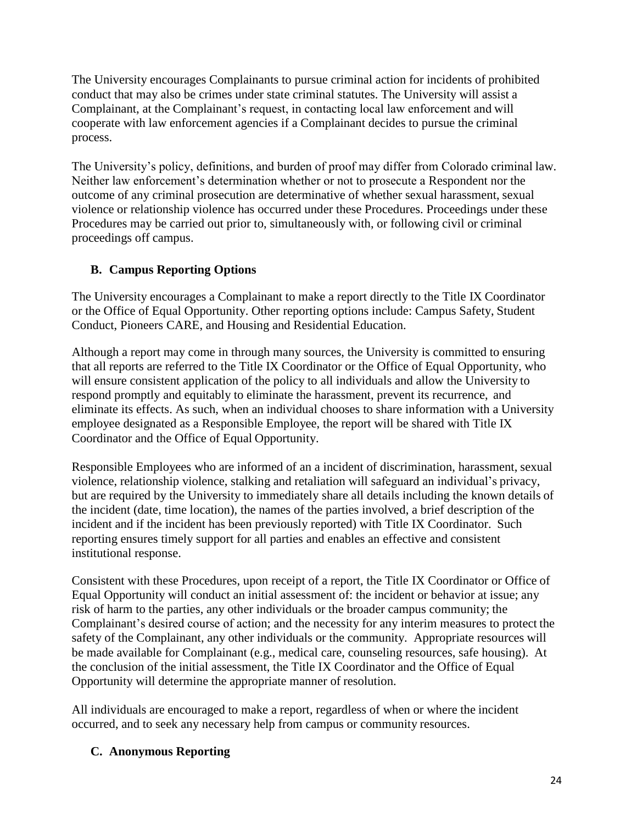The University encourages Complainants to pursue criminal action for incidents of prohibited conduct that may also be crimes under state criminal statutes. The University will assist a Complainant, at the Complainant's request, in contacting local law enforcement and will cooperate with law enforcement agencies if a Complainant decides to pursue the criminal process.

The University's policy, definitions, and burden of proof may differ from Colorado criminal law. Neither law enforcement's determination whether or not to prosecute a Respondent nor the outcome of any criminal prosecution are determinative of whether sexual harassment, sexual violence or relationship violence has occurred under these Procedures. Proceedings under these Procedures may be carried out prior to, simultaneously with, or following civil or criminal proceedings off campus.

## <span id="page-23-0"></span>**B. Campus Reporting Options**

The University encourages a Complainant to make a report directly to the Title IX Coordinator or the Office of Equal Opportunity. Other reporting options include: Campus Safety, Student Conduct, Pioneers CARE, and Housing and Residential Education.

Although a report may come in through many sources, the University is committed to ensuring that all reports are referred to the Title IX Coordinator or the Office of Equal Opportunity, who will ensure consistent application of the policy to all individuals and allow the University to respond promptly and equitably to eliminate the harassment, prevent its recurrence, and eliminate its effects. As such, when an individual chooses to share information with a University employee designated as a Responsible Employee, the report will be shared with Title IX Coordinator and the Office of Equal Opportunity.

Responsible Employees who are informed of an a incident of discrimination, harassment, sexual violence, relationship violence, stalking and retaliation will safeguard an individual's privacy, but are required by the University to immediately share all details including the known details of the incident (date, time location), the names of the parties involved, a brief description of the incident and if the incident has been previously reported) with Title IX Coordinator. Such reporting ensures timely support for all parties and enables an effective and consistent institutional response.

Consistent with these Procedures, upon receipt of a report, the Title IX Coordinator or Office of Equal Opportunity will conduct an initial assessment of: the incident or behavior at issue; any risk of harm to the parties, any other individuals or the broader campus community; the Complainant's desired course of action; and the necessity for any interim measures to protect the safety of the Complainant, any other individuals or the community. Appropriate resources will be made available for Complainant (e.g., medical care, counseling resources, safe housing). At the conclusion of the initial assessment, the Title IX Coordinator and the Office of Equal Opportunity will determine the appropriate manner of resolution.

All individuals are encouraged to make a report, regardless of when or where the incident occurred, and to seek any necessary help from campus or community resources.

## <span id="page-23-1"></span>**C. Anonymous Reporting**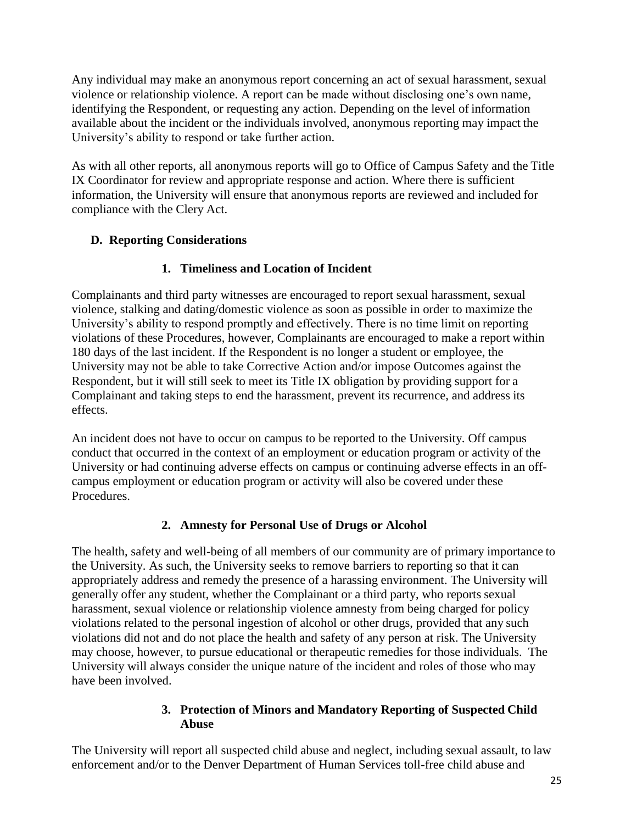Any individual may make an anonymous report concerning an act of sexual harassment, sexual violence or relationship violence. A report can be made without disclosing one's own name, identifying the Respondent, or requesting any action. Depending on the level of information available about the incident or the individuals involved, anonymous reporting may impact the University's ability to respond or take further action.

As with all other reports, all anonymous reports will go to Office of Campus Safety and the Title IX Coordinator for review and appropriate response and action. Where there is sufficient information, the University will ensure that anonymous reports are reviewed and included for compliance with the Clery Act.

## <span id="page-24-0"></span>**D. Reporting Considerations**

## **1. Timeliness and Location of Incident**

Complainants and third party witnesses are encouraged to report sexual harassment, sexual violence, stalking and dating/domestic violence as soon as possible in order to maximize the University's ability to respond promptly and effectively. There is no time limit on reporting violations of these Procedures, however, Complainants are encouraged to make a report within 180 days of the last incident. If the Respondent is no longer a student or employee, the University may not be able to take Corrective Action and/or impose Outcomes against the Respondent, but it will still seek to meet its Title IX obligation by providing support for a Complainant and taking steps to end the harassment, prevent its recurrence, and address its effects.

An incident does not have to occur on campus to be reported to the University. Off campus conduct that occurred in the context of an employment or education program or activity of the University or had continuing adverse effects on campus or continuing adverse effects in an offcampus employment or education program or activity will also be covered under these Procedures.

## **2. Amnesty for Personal Use of Drugs or Alcohol**

The health, safety and well-being of all members of our community are of primary importance to the University. As such, the University seeks to remove barriers to reporting so that it can appropriately address and remedy the presence of a harassing environment. The University will generally offer any student, whether the Complainant or a third party, who reports sexual harassment, sexual violence or relationship violence amnesty from being charged for policy violations related to the personal ingestion of alcohol or other drugs, provided that any such violations did not and do not place the health and safety of any person at risk. The University may choose, however, to pursue educational or therapeutic remedies for those individuals. The University will always consider the unique nature of the incident and roles of those who may have been involved.

## **3. Protection of Minors and Mandatory Reporting of Suspected Child Abuse**

The University will report all suspected child abuse and neglect, including sexual assault, to law enforcement and/or to the Denver Department of Human Services toll-free child abuse and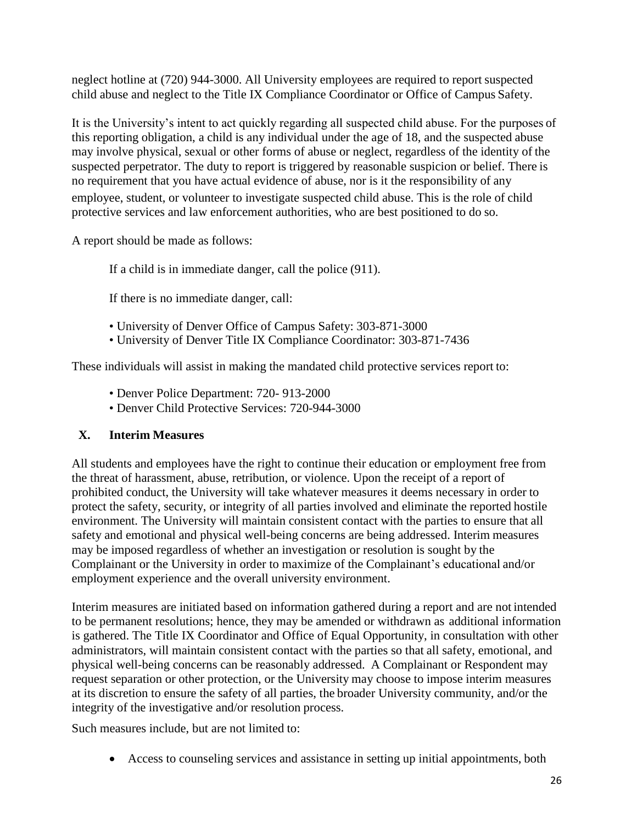neglect hotline at (720) 944-3000. All University employees are required to report suspected child abuse and neglect to the Title IX Compliance Coordinator or Office of Campus Safety.

It is the University's intent to act quickly regarding all suspected child abuse. For the purposes of this reporting obligation, a child is any individual under the age of 18, and the suspected abuse may involve physical, sexual or other forms of abuse or neglect, regardless of the identity of the suspected perpetrator. The duty to report is triggered by reasonable suspicion or belief. There is no requirement that you have actual evidence of abuse, nor is it the responsibility of any employee, student, or volunteer to investigate suspected child abuse. This is the role of child protective services and law enforcement authorities, who are best positioned to do so.

A report should be made as follows:

If a child is in immediate danger, call the police (911).

If there is no immediate danger, call:

- University of Denver Office of Campus Safety: 303-871-3000
- University of Denver Title IX Compliance Coordinator: 303-871-7436

These individuals will assist in making the mandated child protective services report to:

- Denver Police Department: 720- 913-2000
- Denver Child Protective Services: 720-944-3000

## <span id="page-25-0"></span>**X. Interim Measures**

All students and employees have the right to continue their education or employment free from the threat of harassment, abuse, retribution, or violence. Upon the receipt of a report of prohibited conduct, the University will take whatever measures it deems necessary in order to protect the safety, security, or integrity of all parties involved and eliminate the reported hostile environment. The University will maintain consistent contact with the parties to ensure that all safety and emotional and physical well-being concerns are being addressed. Interim measures may be imposed regardless of whether an investigation or resolution is sought by the Complainant or the University in order to maximize of the Complainant's educational and/or employment experience and the overall university environment.

Interim measures are initiated based on information gathered during a report and are not intended to be permanent resolutions; hence, they may be amended or withdrawn as additional information is gathered. The Title IX Coordinator and Office of Equal Opportunity, in consultation with other administrators, will maintain consistent contact with the parties so that all safety, emotional, and physical well-being concerns can be reasonably addressed. A Complainant or Respondent may request separation or other protection, or the University may choose to impose interim measures at its discretion to ensure the safety of all parties, the broader University community, and/or the integrity of the investigative and/or resolution process.

Such measures include, but are not limited to:

Access to counseling services and assistance in setting up initial appointments, both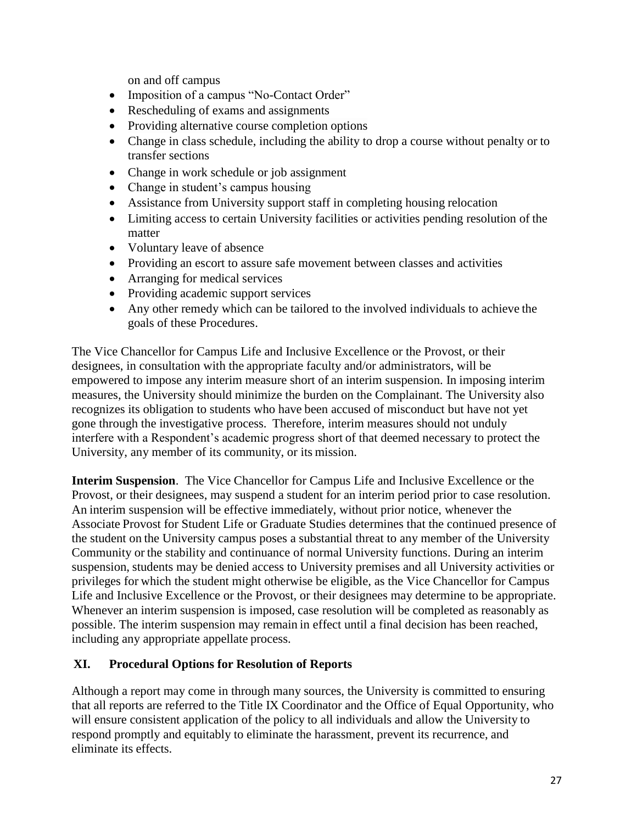on and off campus

- Imposition of a campus "No-Contact Order"
- Rescheduling of exams and assignments
- Providing alternative course completion options
- Change in class schedule, including the ability to drop a course without penalty or to transfer sections
- Change in work schedule or job assignment
- Change in student's campus housing
- Assistance from University support staff in completing housing relocation
- Limiting access to certain University facilities or activities pending resolution of the matter
- Voluntary leave of absence
- Providing an escort to assure safe movement between classes and activities
- Arranging for medical services
- Providing academic support services
- Any other remedy which can be tailored to the involved individuals to achieve the goals of these Procedures.

The Vice Chancellor for Campus Life and Inclusive Excellence or the Provost, or their designees, in consultation with the appropriate faculty and/or administrators, will be empowered to impose any interim measure short of an interim suspension. In imposing interim measures, the University should minimize the burden on the Complainant. The University also recognizes its obligation to students who have been accused of misconduct but have not yet gone through the investigative process. Therefore, interim measures should not unduly interfere with a Respondent's academic progress short of that deemed necessary to protect the University, any member of its community, or its mission.

**Interim Suspension**. The Vice Chancellor for Campus Life and Inclusive Excellence or the Provost, or their designees, may suspend a student for an interim period prior to case resolution. An interim suspension will be effective immediately, without prior notice, whenever the Associate Provost for Student Life or Graduate Studies determines that the continued presence of the student on the University campus poses a substantial threat to any member of the University Community or the stability and continuance of normal University functions. During an interim suspension, students may be denied access to University premises and all University activities or privileges for which the student might otherwise be eligible, as the Vice Chancellor for Campus Life and Inclusive Excellence or the Provost, or their designees may determine to be appropriate. Whenever an interim suspension is imposed, case resolution will be completed as reasonably as possible. The interim suspension may remain in effect until a final decision has been reached, including any appropriate appellate process.

## <span id="page-26-0"></span>**XI. Procedural Options for Resolution of Reports**

Although a report may come in through many sources, the University is committed to ensuring that all reports are referred to the Title IX Coordinator and the Office of Equal Opportunity, who will ensure consistent application of the policy to all individuals and allow the University to respond promptly and equitably to eliminate the harassment, prevent its recurrence, and eliminate its effects.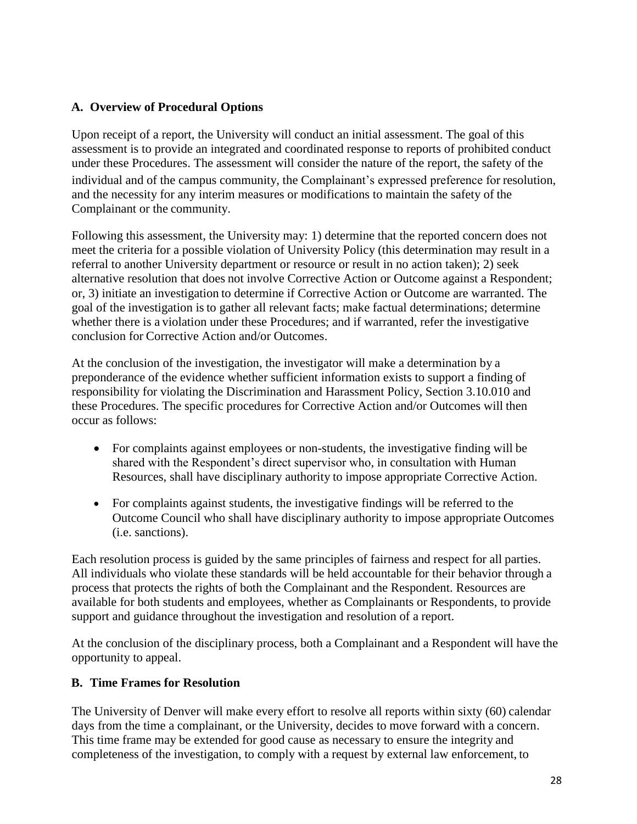## <span id="page-27-0"></span>**A. Overview of Procedural Options**

Upon receipt of a report, the University will conduct an initial assessment. The goal of this assessment is to provide an integrated and coordinated response to reports of prohibited conduct under these Procedures. The assessment will consider the nature of the report, the safety of the individual and of the campus community, the Complainant's expressed preference for resolution, and the necessity for any interim measures or modifications to maintain the safety of the Complainant or the community.

Following this assessment, the University may: 1) determine that the reported concern does not meet the criteria for a possible violation of University Policy (this determination may result in a referral to another University department or resource or result in no action taken); 2) seek alternative resolution that does not involve Corrective Action or Outcome against a Respondent; or, 3) initiate an investigation to determine if Corrective Action or Outcome are warranted. The goal of the investigation is to gather all relevant facts; make factual determinations; determine whether there is a violation under these Procedures; and if warranted, refer the investigative conclusion for Corrective Action and/or Outcomes.

At the conclusion of the investigation, the investigator will make a determination by a preponderance of the evidence whether sufficient information exists to support a finding of responsibility for violating the Discrimination and Harassment Policy, Section 3.10.010 and these Procedures. The specific procedures for Corrective Action and/or Outcomes will then occur as follows:

- For complaints against employees or non-students, the investigative finding will be shared with the Respondent's direct supervisor who, in consultation with Human Resources, shall have disciplinary authority to impose appropriate Corrective Action.
- For complaints against students, the investigative findings will be referred to the Outcome Council who shall have disciplinary authority to impose appropriate Outcomes (i.e. sanctions).

Each resolution process is guided by the same principles of fairness and respect for all parties. All individuals who violate these standards will be held accountable for their behavior through a process that protects the rights of both the Complainant and the Respondent. Resources are available for both students and employees, whether as Complainants or Respondents, to provide support and guidance throughout the investigation and resolution of a report.

At the conclusion of the disciplinary process, both a Complainant and a Respondent will have the opportunity to appeal.

## <span id="page-27-1"></span>**B. Time Frames for Resolution**

The University of Denver will make every effort to resolve all reports within sixty (60) calendar days from the time a complainant, or the University, decides to move forward with a concern. This time frame may be extended for good cause as necessary to ensure the integrity and completeness of the investigation, to comply with a request by external law enforcement, to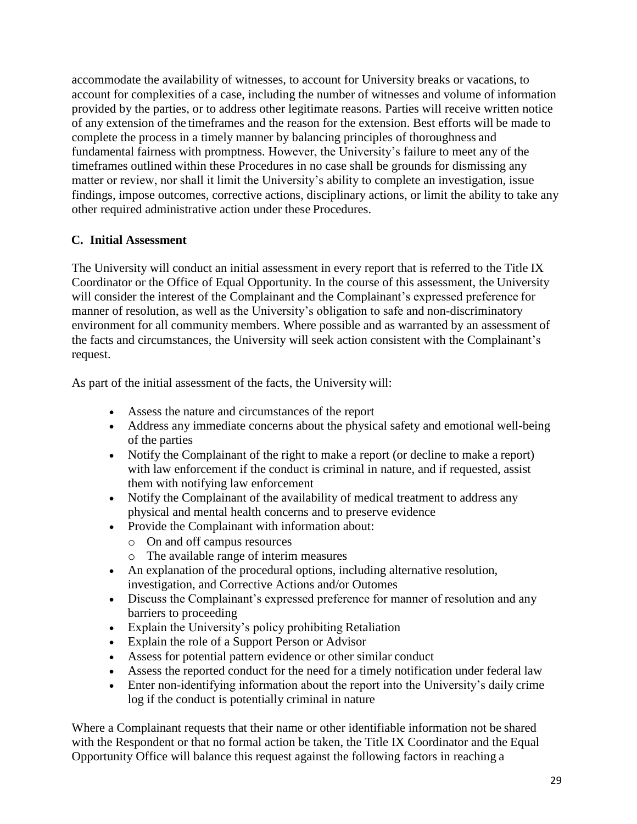accommodate the availability of witnesses, to account for University breaks or vacations, to account for complexities of a case, including the number of witnesses and volume of information provided by the parties, or to address other legitimate reasons. Parties will receive written notice of any extension of the timeframes and the reason for the extension. Best efforts will be made to complete the process in a timely manner by balancing principles of thoroughness and fundamental fairness with promptness. However, the University's failure to meet any of the timeframes outlined within these Procedures in no case shall be grounds for dismissing any matter or review, nor shall it limit the University's ability to complete an investigation, issue findings, impose outcomes, corrective actions, disciplinary actions, or limit the ability to take any other required administrative action under these Procedures.

## <span id="page-28-0"></span>**C. Initial Assessment**

The University will conduct an initial assessment in every report that is referred to the Title IX Coordinator or the Office of Equal Opportunity. In the course of this assessment, the University will consider the interest of the Complainant and the Complainant's expressed preference for manner of resolution, as well as the University's obligation to safe and non-discriminatory environment for all community members. Where possible and as warranted by an assessment of the facts and circumstances, the University will seek action consistent with the Complainant's request.

As part of the initial assessment of the facts, the University will:

- Assess the nature and circumstances of the report
- Address any immediate concerns about the physical safety and emotional well-being of the parties
- Notify the Complainant of the right to make a report (or decline to make a report) with law enforcement if the conduct is criminal in nature, and if requested, assist them with notifying law enforcement
- Notify the Complainant of the availability of medical treatment to address any physical and mental health concerns and to preserve evidence
- Provide the Complainant with information about:
	- o On and off campus resources
	- o The available range of interim measures
- An explanation of the procedural options, including alternative resolution, investigation, and Corrective Actions and/or Outomes
- Discuss the Complainant's expressed preference for manner of resolution and any barriers to proceeding
- Explain the University's policy prohibiting Retaliation
- Explain the role of a Support Person or Advisor
- Assess for potential pattern evidence or other similar conduct
- Assess the reported conduct for the need for a timely notification under federal law
- Enter non-identifying information about the report into the University's daily crime log if the conduct is potentially criminal in nature

Where a Complainant requests that their name or other identifiable information not be shared with the Respondent or that no formal action be taken, the Title IX Coordinator and the Equal Opportunity Office will balance this request against the following factors in reaching a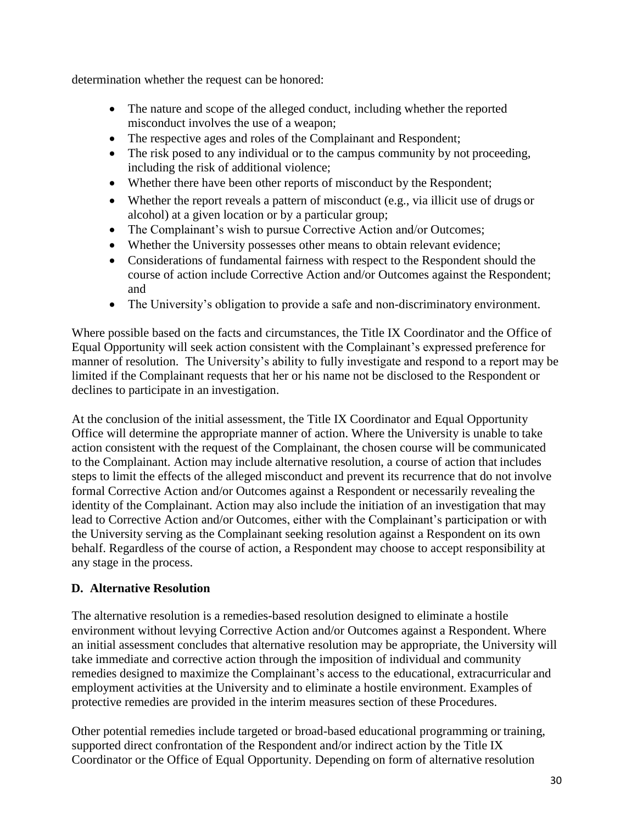determination whether the request can be honored:

- The nature and scope of the alleged conduct, including whether the reported misconduct involves the use of a weapon;
- The respective ages and roles of the Complainant and Respondent;
- The risk posed to any individual or to the campus community by not proceeding, including the risk of additional violence;
- Whether there have been other reports of misconduct by the Respondent;
- Whether the report reveals a pattern of misconduct (e.g., via illicit use of drugs or alcohol) at a given location or by a particular group;
- The Complainant's wish to pursue Corrective Action and/or Outcomes;
- Whether the University possesses other means to obtain relevant evidence;
- Considerations of fundamental fairness with respect to the Respondent should the course of action include Corrective Action and/or Outcomes against the Respondent; and
- The University's obligation to provide a safe and non-discriminatory environment.

Where possible based on the facts and circumstances, the Title IX Coordinator and the Office of Equal Opportunity will seek action consistent with the Complainant's expressed preference for manner of resolution. The University's ability to fully investigate and respond to a report may be limited if the Complainant requests that her or his name not be disclosed to the Respondent or declines to participate in an investigation.

At the conclusion of the initial assessment, the Title IX Coordinator and Equal Opportunity Office will determine the appropriate manner of action. Where the University is unable to take action consistent with the request of the Complainant, the chosen course will be communicated to the Complainant. Action may include alternative resolution, a course of action that includes steps to limit the effects of the alleged misconduct and prevent its recurrence that do not involve formal Corrective Action and/or Outcomes against a Respondent or necessarily revealing the identity of the Complainant. Action may also include the initiation of an investigation that may lead to Corrective Action and/or Outcomes, either with the Complainant's participation or with the University serving as the Complainant seeking resolution against a Respondent on its own behalf. Regardless of the course of action, a Respondent may choose to accept responsibility at any stage in the process.

## <span id="page-29-0"></span>**D. Alternative Resolution**

The alternative resolution is a remedies-based resolution designed to eliminate a hostile environment without levying Corrective Action and/or Outcomes against a Respondent. Where an initial assessment concludes that alternative resolution may be appropriate, the University will take immediate and corrective action through the imposition of individual and community remedies designed to maximize the Complainant's access to the educational, extracurricular and employment activities at the University and to eliminate a hostile environment. Examples of protective remedies are provided in the interim measures section of these Procedures.

Other potential remedies include targeted or broad-based educational programming or training, supported direct confrontation of the Respondent and/or indirect action by the Title IX Coordinator or the Office of Equal Opportunity. Depending on form of alternative resolution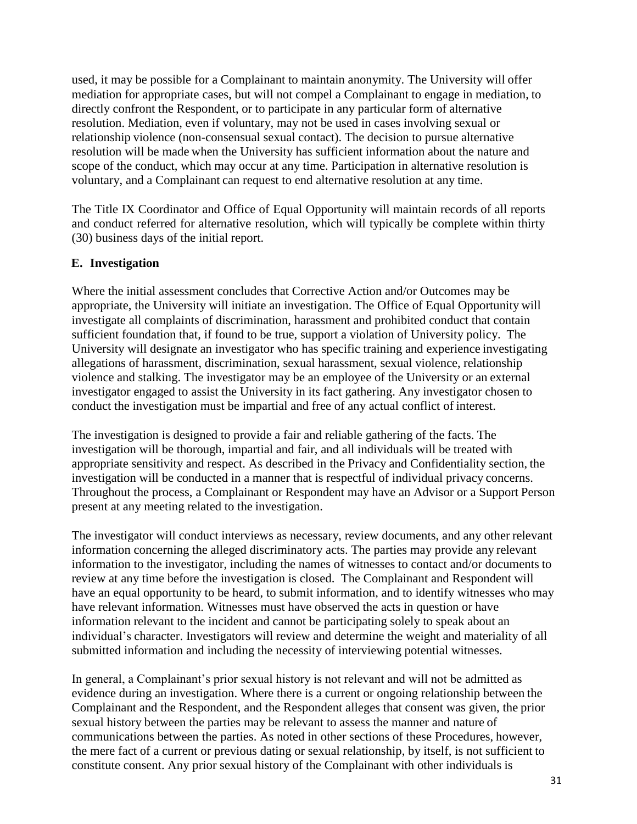used, it may be possible for a Complainant to maintain anonymity. The University will offer mediation for appropriate cases, but will not compel a Complainant to engage in mediation, to directly confront the Respondent, or to participate in any particular form of alternative resolution. Mediation, even if voluntary, may not be used in cases involving sexual or relationship violence (non-consensual sexual contact). The decision to pursue alternative resolution will be made when the University has sufficient information about the nature and scope of the conduct, which may occur at any time. Participation in alternative resolution is voluntary, and a Complainant can request to end alternative resolution at any time.

The Title IX Coordinator and Office of Equal Opportunity will maintain records of all reports and conduct referred for alternative resolution, which will typically be complete within thirty (30) business days of the initial report.

## <span id="page-30-0"></span>**E. Investigation**

Where the initial assessment concludes that Corrective Action and/or Outcomes may be appropriate, the University will initiate an investigation. The Office of Equal Opportunity will investigate all complaints of discrimination, harassment and prohibited conduct that contain sufficient foundation that, if found to be true, support a violation of University policy. The University will designate an investigator who has specific training and experience investigating allegations of harassment, discrimination, sexual harassment, sexual violence, relationship violence and stalking. The investigator may be an employee of the University or an external investigator engaged to assist the University in its fact gathering. Any investigator chosen to conduct the investigation must be impartial and free of any actual conflict of interest.

The investigation is designed to provide a fair and reliable gathering of the facts. The investigation will be thorough, impartial and fair, and all individuals will be treated with appropriate sensitivity and respect. As described in the Privacy and Confidentiality section, the investigation will be conducted in a manner that is respectful of individual privacy concerns. Throughout the process, a Complainant or Respondent may have an Advisor or a Support Person present at any meeting related to the investigation.

The investigator will conduct interviews as necessary, review documents, and any other relevant information concerning the alleged discriminatory acts. The parties may provide any relevant information to the investigator, including the names of witnesses to contact and/or documents to review at any time before the investigation is closed. The Complainant and Respondent will have an equal opportunity to be heard, to submit information, and to identify witnesses who may have relevant information. Witnesses must have observed the acts in question or have information relevant to the incident and cannot be participating solely to speak about an individual's character. Investigators will review and determine the weight and materiality of all submitted information and including the necessity of interviewing potential witnesses.

In general, a Complainant's prior sexual history is not relevant and will not be admitted as evidence during an investigation. Where there is a current or ongoing relationship between the Complainant and the Respondent, and the Respondent alleges that consent was given, the prior sexual history between the parties may be relevant to assess the manner and nature of communications between the parties. As noted in other sections of these Procedures, however, the mere fact of a current or previous dating or sexual relationship, by itself, is not sufficient to constitute consent. Any prior sexual history of the Complainant with other individuals is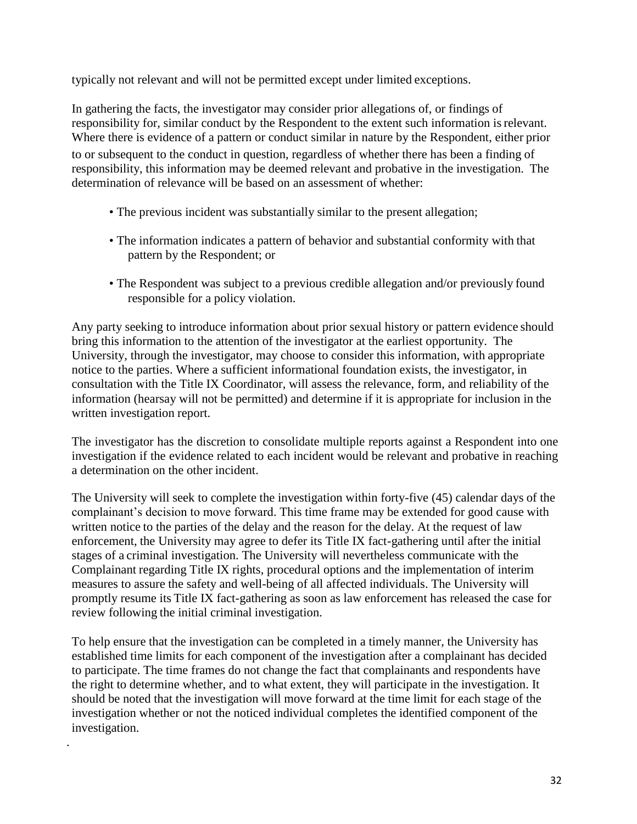typically not relevant and will not be permitted except under limited exceptions.

In gathering the facts, the investigator may consider prior allegations of, or findings of responsibility for, similar conduct by the Respondent to the extent such information isrelevant. Where there is evidence of a pattern or conduct similar in nature by the Respondent, either prior to or subsequent to the conduct in question, regardless of whether there has been a finding of responsibility, this information may be deemed relevant and probative in the investigation. The determination of relevance will be based on an assessment of whether:

- The previous incident was substantially similar to the present allegation;
- The information indicates a pattern of behavior and substantial conformity with that pattern by the Respondent; or
- The Respondent was subject to a previous credible allegation and/or previously found responsible for a policy violation.

Any party seeking to introduce information about prior sexual history or pattern evidence should bring this information to the attention of the investigator at the earliest opportunity. The University, through the investigator, may choose to consider this information, with appropriate notice to the parties. Where a sufficient informational foundation exists, the investigator, in consultation with the Title IX Coordinator, will assess the relevance, form, and reliability of the information (hearsay will not be permitted) and determine if it is appropriate for inclusion in the written investigation report.

The investigator has the discretion to consolidate multiple reports against a Respondent into one investigation if the evidence related to each incident would be relevant and probative in reaching a determination on the other incident.

The University will seek to complete the investigation within forty-five (45) calendar days of the complainant's decision to move forward. This time frame may be extended for good cause with written notice to the parties of the delay and the reason for the delay. At the request of law enforcement, the University may agree to defer its Title IX fact-gathering until after the initial stages of a criminal investigation. The University will nevertheless communicate with the Complainant regarding Title IX rights, procedural options and the implementation of interim measures to assure the safety and well-being of all affected individuals. The University will promptly resume its Title IX fact-gathering as soon as law enforcement has released the case for review following the initial criminal investigation.

To help ensure that the investigation can be completed in a timely manner, the University has established time limits for each component of the investigation after a complainant has decided to participate. The time frames do not change the fact that complainants and respondents have the right to determine whether, and to what extent, they will participate in the investigation. It should be noted that the investigation will move forward at the time limit for each stage of the investigation whether or not the noticed individual completes the identified component of the investigation.

.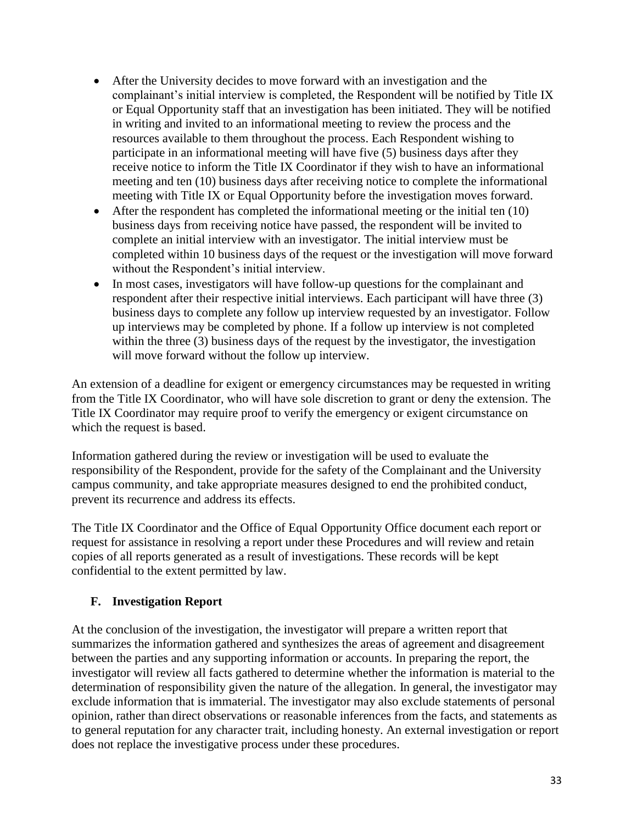- After the University decides to move forward with an investigation and the complainant's initial interview is completed, the Respondent will be notified by Title IX or Equal Opportunity staff that an investigation has been initiated. They will be notified in writing and invited to an informational meeting to review the process and the resources available to them throughout the process. Each Respondent wishing to participate in an informational meeting will have five (5) business days after they receive notice to inform the Title IX Coordinator if they wish to have an informational meeting and ten (10) business days after receiving notice to complete the informational meeting with Title IX or Equal Opportunity before the investigation moves forward.
- After the respondent has completed the informational meeting or the initial ten (10) business days from receiving notice have passed, the respondent will be invited to complete an initial interview with an investigator. The initial interview must be completed within 10 business days of the request or the investigation will move forward without the Respondent's initial interview.
- In most cases, investigators will have follow-up questions for the complainant and respondent after their respective initial interviews. Each participant will have three (3) business days to complete any follow up interview requested by an investigator. Follow up interviews may be completed by phone. If a follow up interview is not completed within the three (3) business days of the request by the investigator, the investigation will move forward without the follow up interview.

An extension of a deadline for exigent or emergency circumstances may be requested in writing from the Title IX Coordinator, who will have sole discretion to grant or deny the extension. The Title IX Coordinator may require proof to verify the emergency or exigent circumstance on which the request is based.

Information gathered during the review or investigation will be used to evaluate the responsibility of the Respondent, provide for the safety of the Complainant and the University campus community, and take appropriate measures designed to end the prohibited conduct, prevent its recurrence and address its effects.

The Title IX Coordinator and the Office of Equal Opportunity Office document each report or request for assistance in resolving a report under these Procedures and will review and retain copies of all reports generated as a result of investigations. These records will be kept confidential to the extent permitted by law.

## <span id="page-32-0"></span>**F. Investigation Report**

At the conclusion of the investigation, the investigator will prepare a written report that summarizes the information gathered and synthesizes the areas of agreement and disagreement between the parties and any supporting information or accounts. In preparing the report, the investigator will review all facts gathered to determine whether the information is material to the determination of responsibility given the nature of the allegation. In general, the investigator may exclude information that is immaterial. The investigator may also exclude statements of personal opinion, rather than direct observations or reasonable inferences from the facts, and statements as to general reputation for any character trait, including honesty. An external investigation or report does not replace the investigative process under these procedures.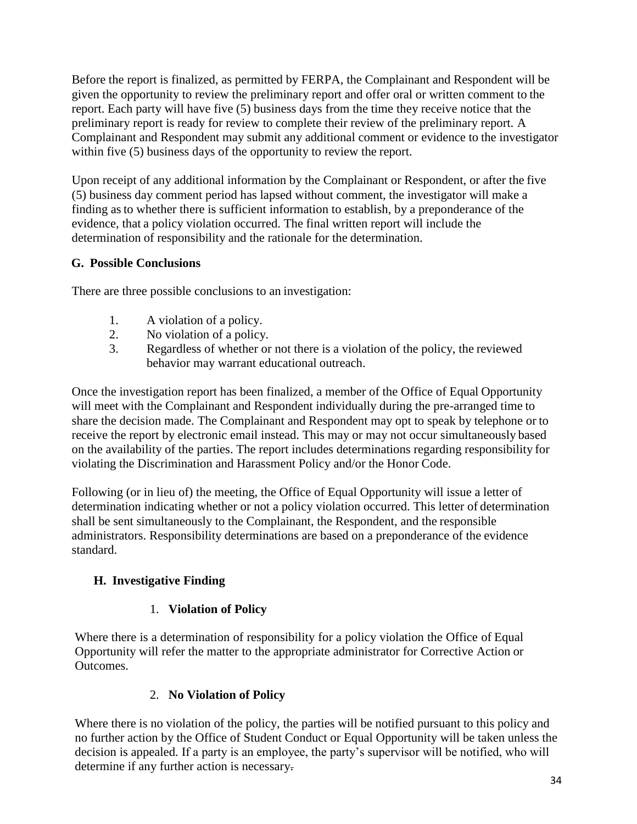Before the report is finalized, as permitted by FERPA, the Complainant and Respondent will be given the opportunity to review the preliminary report and offer oral or written comment to the report. Each party will have five (5) business days from the time they receive notice that the preliminary report is ready for review to complete their review of the preliminary report. A Complainant and Respondent may submit any additional comment or evidence to the investigator within five (5) business days of the opportunity to review the report.

Upon receipt of any additional information by the Complainant or Respondent, or after the five (5) business day comment period has lapsed without comment, the investigator will make a finding asto whether there is sufficient information to establish, by a preponderance of the evidence, that a policy violation occurred. The final written report will include the determination of responsibility and the rationale for the determination.

## <span id="page-33-0"></span>**G. Possible Conclusions**

There are three possible conclusions to an investigation:

- 1. A violation of a policy.
- 2. No violation of a policy.
- 3. Regardless of whether or not there is a violation of the policy, the reviewed behavior may warrant educational outreach.

Once the investigation report has been finalized, a member of the Office of Equal Opportunity will meet with the Complainant and Respondent individually during the pre-arranged time to share the decision made. The Complainant and Respondent may opt to speak by telephone or to receive the report by electronic email instead. This may or may not occur simultaneously based on the availability of the parties. The report includes determinations regarding responsibility for violating the Discrimination and Harassment Policy and/or the Honor Code.

Following (or in lieu of) the meeting, the Office of Equal Opportunity will issue a letter of determination indicating whether or not a policy violation occurred. This letter of determination shall be sent simultaneously to the Complainant, the Respondent, and the responsible administrators. Responsibility determinations are based on a preponderance of the evidence standard.

## <span id="page-33-1"></span>**H. Investigative Finding**

## 1. **Violation of Policy**

Where there is a determination of responsibility for a policy violation the Office of Equal Opportunity will refer the matter to the appropriate administrator for Corrective Action or Outcomes.

## 2. **No Violation of Policy**

Where there is no violation of the policy, the parties will be notified pursuant to this policy and no further action by the Office of Student Conduct or Equal Opportunity will be taken unless the decision is appealed. If a party is an employee, the party's supervisor will be notified, who will determine if any further action is necessary.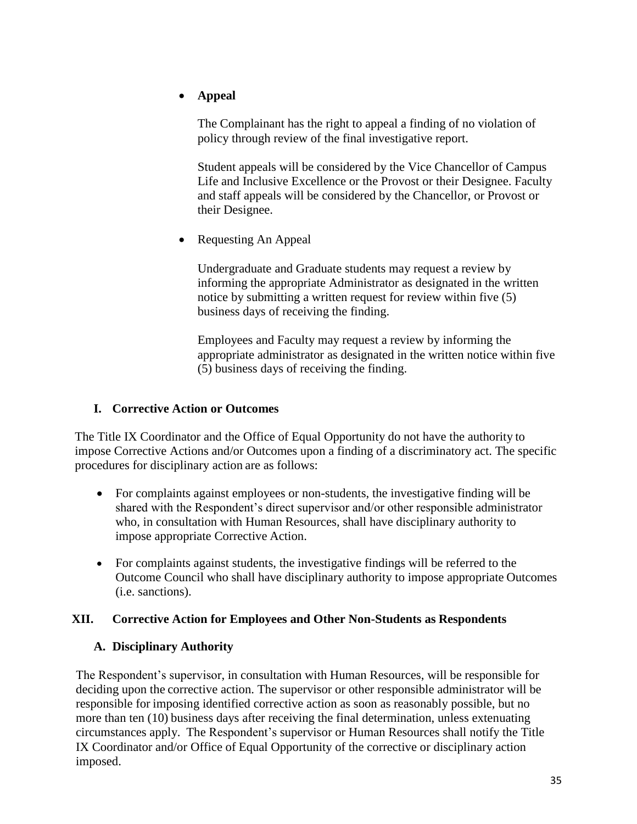## **Appeal**

The Complainant has the right to appeal a finding of no violation of policy through review of the final investigative report.

Student appeals will be considered by the Vice Chancellor of Campus Life and Inclusive Excellence or the Provost or their Designee. Faculty and staff appeals will be considered by the Chancellor, or Provost or their Designee.

• Requesting An Appeal

Undergraduate and Graduate students may request a review by informing the appropriate Administrator as designated in the written notice by submitting a written request for review within five (5) business days of receiving the finding.

Employees and Faculty may request a review by informing the appropriate administrator as designated in the written notice within five (5) business days of receiving the finding.

## <span id="page-34-0"></span>**I. Corrective Action or Outcomes**

The Title IX Coordinator and the Office of Equal Opportunity do not have the authority to impose Corrective Actions and/or Outcomes upon a finding of a discriminatory act. The specific procedures for disciplinary action are as follows:

- For complaints against employees or non-students, the investigative finding will be shared with the Respondent's direct supervisor and/or other responsible administrator who, in consultation with Human Resources, shall have disciplinary authority to impose appropriate Corrective Action.
- For complaints against students, the investigative findings will be referred to the Outcome Council who shall have disciplinary authority to impose appropriate Outcomes (i.e. sanctions).

## <span id="page-34-2"></span><span id="page-34-1"></span>**XII. Corrective Action for Employees and Other Non-Students as Respondents**

## **A. Disciplinary Authority**

The Respondent's supervisor, in consultation with Human Resources, will be responsible for deciding upon the corrective action. The supervisor or other responsible administrator will be responsible for imposing identified corrective action as soon as reasonably possible, but no more than ten (10) business days after receiving the final determination, unless extenuating circumstances apply. The Respondent's supervisor or Human Resources shall notify the Title IX Coordinator and/or Office of Equal Opportunity of the corrective or disciplinary action imposed.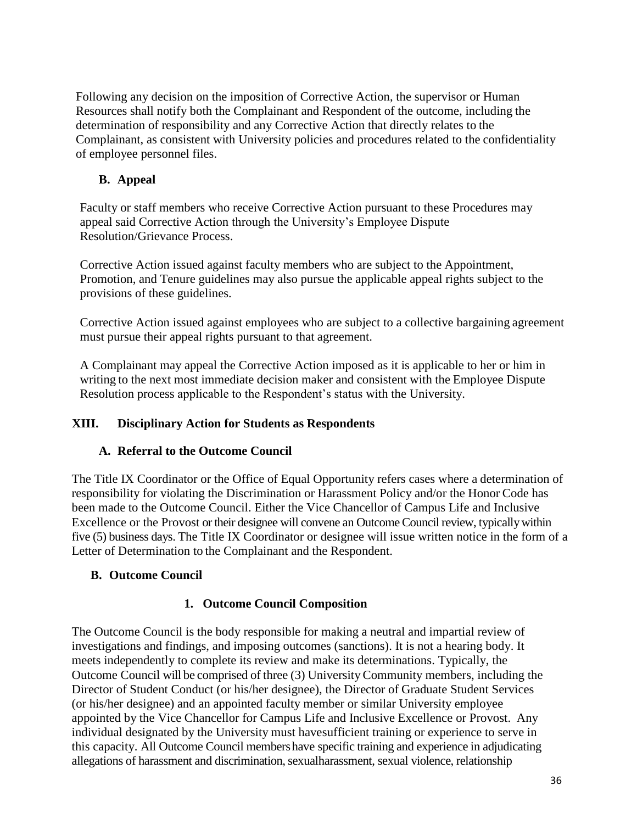Following any decision on the imposition of Corrective Action, the supervisor or Human Resources shall notify both the Complainant and Respondent of the outcome, including the determination of responsibility and any Corrective Action that directly relates to the Complainant, as consistent with University policies and procedures related to the confidentiality of employee personnel files.

## <span id="page-35-0"></span>**B. Appeal**

Faculty or staff members who receive Corrective Action pursuant to these Procedures may appeal said Corrective Action through the University's Employee Dispute Resolution/Grievance Process.

Corrective Action issued against faculty members who are subject to the Appointment, Promotion, and Tenure guidelines may also pursue the applicable appeal rights subject to the provisions of these guidelines.

Corrective Action issued against employees who are subject to a collective bargaining agreement must pursue their appeal rights pursuant to that agreement.

A Complainant may appeal the Corrective Action imposed as it is applicable to her or him in writing to the next most immediate decision maker and consistent with the Employee Dispute Resolution process applicable to the Respondent's status with the University.

## <span id="page-35-2"></span><span id="page-35-1"></span>**XIII. Disciplinary Action for Students as Respondents**

## **A. Referral to the Outcome Council**

The Title IX Coordinator or the Office of Equal Opportunity refers cases where a determination of responsibility for violating the Discrimination or Harassment Policy and/or the Honor Code has been made to the Outcome Council. Either the Vice Chancellor of Campus Life and Inclusive Excellence or the Provost or their designee will convene an Outcome Council review, typically within five (5) business days. The Title IX Coordinator or designee will issue written notice in the form of a Letter of Determination to the Complainant and the Respondent.

## <span id="page-35-3"></span>**B. Outcome Council**

## **1. Outcome Council Composition**

The Outcome Council is the body responsible for making a neutral and impartial review of investigations and findings, and imposing outcomes (sanctions). It is not a hearing body. It meets independently to complete its review and make its determinations. Typically, the Outcome Council will be comprised of three (3) UniversityCommunity members, including the Director of Student Conduct (or his/her designee), the Director of Graduate Student Services (or his/her designee) and an appointed faculty member or similar University employee appointed by the Vice Chancellor for Campus Life and Inclusive Excellence or Provost. Any individual designated by the University must havesufficient training or experience to serve in this capacity. All Outcome Council membershave specific training and experience in adjudicating allegations of harassment and discrimination, sexualharassment, sexual violence, relationship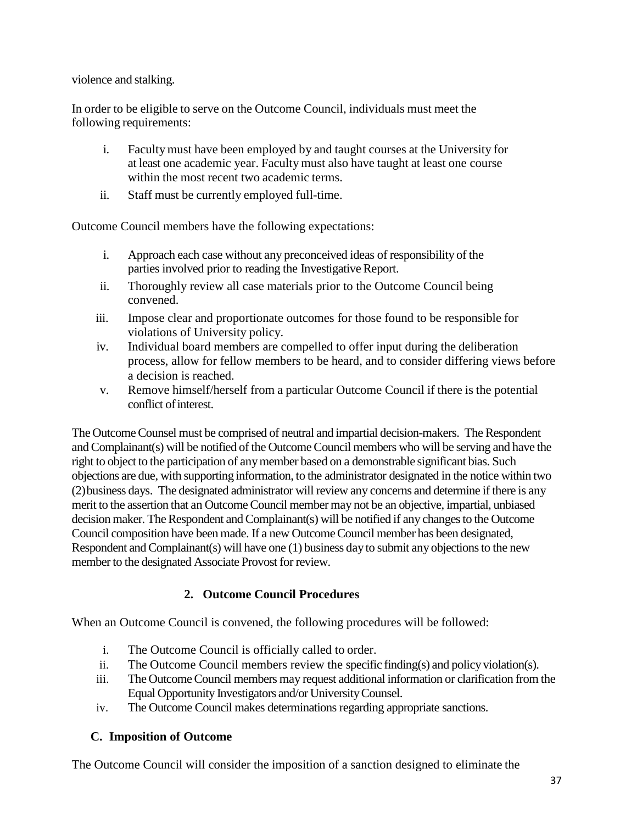violence and stalking.

In order to be eligible to serve on the Outcome Council, individuals must meet the following requirements:

- i. Facultymust have been employed by and taught courses at the University for at least one academic year. Faculty must also have taught at least one course within the most recent two academic terms.
- ii. Staff must be currently employed full-time.

Outcome Council members have the following expectations:

- i. Approach each case without any preconceived ideas of responsibility of the parties involved prior to reading the Investigative Report.
- ii. Thoroughly review all case materials prior to the Outcome Council being convened.
- iii. Impose clear and proportionate outcomes for those found to be responsible for violations of University policy.
- iv. Individual board members are compelled to offer input during the deliberation process, allow for fellow members to be heard, and to consider differing views before a decision is reached.
- v. Remove himself/herself from a particular Outcome Council if there is the potential conflict ofinterest.

The OutcomeCounsel must be comprised of neutral and impartial decision-makers. The Respondent andComplainant(s) will be notified of the OutcomeCouncil members who will be serving and have the right to object to the participation of anymember based on a demonstrable significant bias. Such objections are due, with supporting information, to the administrator designated in the notice within two (2)business days. The designated administrator will review any concerns and determine if there is any merit to the assertion that an Outcome Council member may not be an objective, impartial, unbiased decision maker. The Respondent and Complainant(s) will be notified if any changes to the Outcome Council composition have been made. If a new OutcomeCouncil member has been designated, Respondent and Complainant(s) will have one  $(1)$  business day to submit any objections to the new member to the designated Associate Provost for review.

## **2. Outcome Council Procedures**

When an Outcome Council is convened, the following procedures will be followed:

- i. The Outcome Council is officially called to order.
- ii. The Outcome Council members review the specific finding(s) and policyviolation(s).
- iii. The Outcome Council members may request additional information or clarification from the Equal Opportunity Investigators and/or UniversityCounsel.
- iv. The Outcome Council makes determinations regarding appropriate sanctions.

## <span id="page-36-0"></span>**C. Imposition of Outcome**

The Outcome Council will consider the imposition of a sanction designed to eliminate the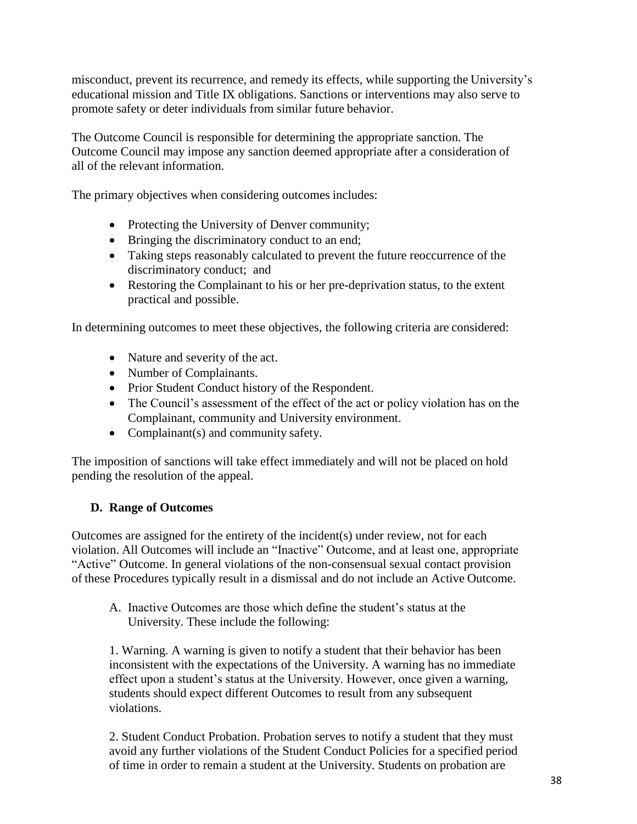misconduct, prevent its recurrence, and remedy its effects, while supporting the University's educational mission and Title IX obligations. Sanctions or interventions may also serve to promote safety or deter individuals from similar future behavior.

The Outcome Council is responsible for determining the appropriate sanction. The Outcome Council may impose any sanction deemed appropriate after a consideration of all of the relevant information.

The primary objectives when considering outcomes includes:

- Protecting the University of Denver community;
- Bringing the discriminatory conduct to an end;
- Taking steps reasonably calculated to prevent the future reoccurrence of the discriminatory conduct; and
- Restoring the Complainant to his or her pre-deprivation status, to the extent practical and possible.

In determining outcomes to meet these objectives, the following criteria are considered:

- Nature and severity of the act.
- Number of Complainants.
- Prior Student Conduct history of the Respondent.
- The Council's assessment of the effect of the act or policy violation has on the Complainant, community and University environment.
- Complainant(s) and community safety.

The imposition of sanctions will take effect immediately and will not be placed on hold pending the resolution of the appeal.

## <span id="page-37-0"></span>**D. Range of Outcomes**

Outcomes are assigned for the entirety of the incident(s) under review, not for each violation. All Outcomes will include an "Inactive" Outcome, and at least one, appropriate "Active" Outcome. In general violations of the non-consensual sexual contact provision of these Procedures typically result in a dismissal and do not include an Active Outcome.

A. Inactive Outcomes are those which define the student's status at the University. These include the following:

1. Warning. A warning is given to notify a student that their behavior has been inconsistent with the expectations of the University. A warning has no immediate effect upon a student's status at the University. However, once given a warning, students should expect different Outcomes to result from any subsequent violations.

2. Student Conduct Probation. Probation serves to notify a student that they must avoid any further violations of the Student Conduct Policies for a specified period of time in order to remain a student at the University. Students on probation are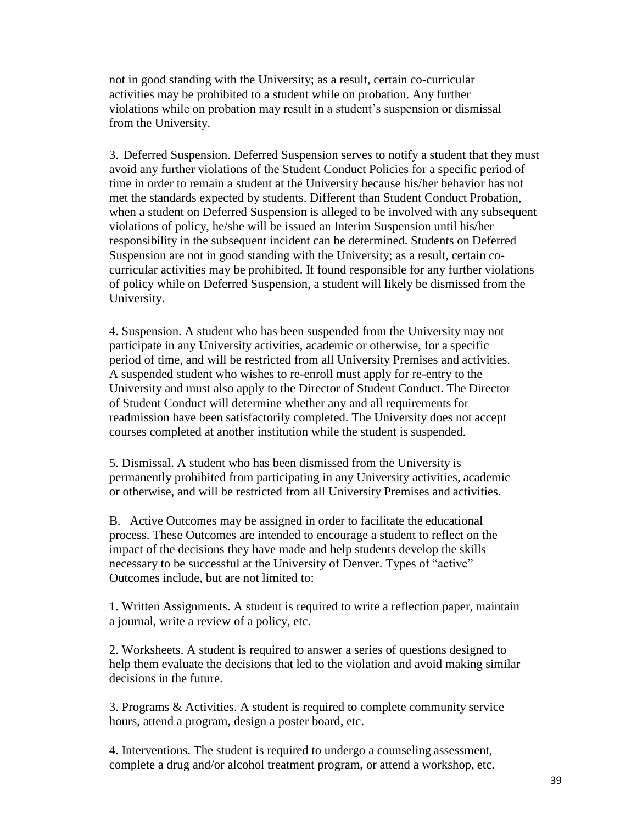not in good standing with the University; as a result, certain co-curricular activities may be prohibited to a student while on probation. Any further violations while on probation may result in a student's suspension or dismissal from the University.

3. Deferred Suspension. Deferred Suspension serves to notify a student that they must avoid any further violations of the Student Conduct Policies for a specific period of time in order to remain a student at the University because his/her behavior has not met the standards expected by students. Different than Student Conduct Probation, when a student on Deferred Suspension is alleged to be involved with any subsequent violations of policy, he/she will be issued an Interim Suspension until his/her responsibility in the subsequent incident can be determined. Students on Deferred Suspension are not in good standing with the University; as a result, certain cocurricular activities may be prohibited. If found responsible for any further violations of policy while on Deferred Suspension, a student will likely be dismissed from the University.

4. Suspension. A student who has been suspended from the University may not participate in any University activities, academic or otherwise, for a specific period of time, and will be restricted from all University Premises and activities. A suspended student who wishes to re-enroll must apply for re-entry to the University and must also apply to the Director of Student Conduct. The Director of Student Conduct will determine whether any and all requirements for readmission have been satisfactorily completed. The University does not accept courses completed at another institution while the student is suspended.

5. Dismissal. A student who has been dismissed from the University is permanently prohibited from participating in any University activities, academic or otherwise, and will be restricted from all University Premises and activities.

B. Active Outcomes may be assigned in order to facilitate the educational process. These Outcomes are intended to encourage a student to reflect on the impact of the decisions they have made and help students develop the skills necessary to be successful at the University of Denver. Types of "active" Outcomes include, but are not limited to:

1. Written Assignments. A student is required to write a reflection paper, maintain a journal, write a review of a policy, etc.

2. Worksheets. A student is required to answer a series of questions designed to help them evaluate the decisions that led to the violation and avoid making similar decisions in the future.

3. Programs & Activities. A student is required to complete community service hours, attend a program, design a poster board, etc.

4. Interventions. The student is required to undergo a counseling assessment, complete a drug and/or alcohol treatment program, or attend a workshop, etc.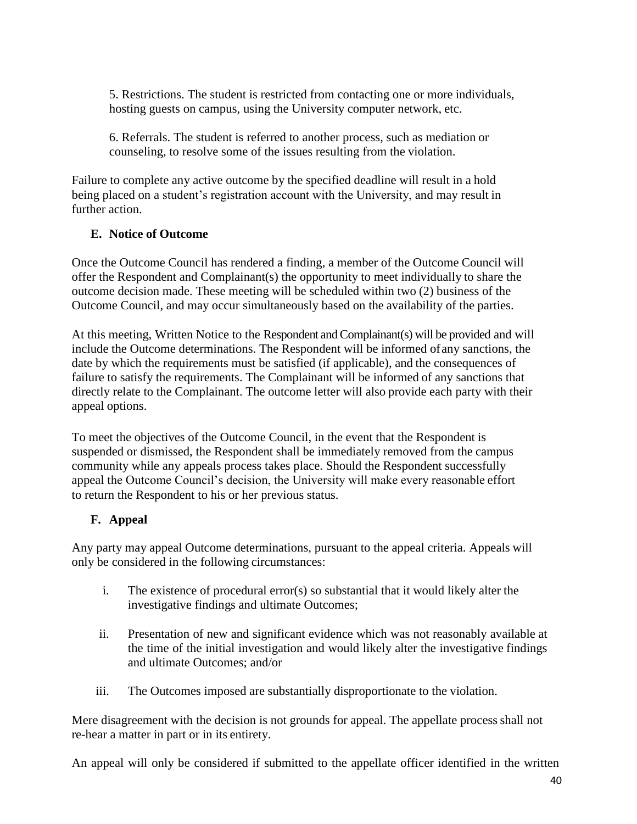5. Restrictions. The student is restricted from contacting one or more individuals, hosting guests on campus, using the University computer network, etc.

6. Referrals. The student is referred to another process, such as mediation or counseling, to resolve some of the issues resulting from the violation.

Failure to complete any active outcome by the specified deadline will result in a hold being placed on a student's registration account with the University, and may result in further action.

## <span id="page-39-0"></span>**E. Notice of Outcome**

Once the Outcome Council has rendered a finding, a member of the Outcome Council will offer the Respondent and Complainant(s) the opportunity to meet individually to share the outcome decision made. These meeting will be scheduled within two (2) business of the Outcome Council, and may occur simultaneously based on the availability of the parties.

At this meeting, Written Notice to the Respondent andComplainant(s) will be provided and will include the Outcome determinations. The Respondent will be informed ofany sanctions, the date by which the requirements must be satisfied (if applicable), and the consequences of failure to satisfy the requirements. The Complainant will be informed of any sanctions that directly relate to the Complainant. The outcome letter will also provide each party with their appeal options.

To meet the objectives of the Outcome Council, in the event that the Respondent is suspended or dismissed, the Respondent shall be immediately removed from the campus community while any appeals process takes place. Should the Respondent successfully appeal the Outcome Council's decision, the University will make every reasonable effort to return the Respondent to his or her previous status.

## <span id="page-39-1"></span>**F. Appeal**

Any party may appeal Outcome determinations, pursuant to the appeal criteria. Appeals will only be considered in the following circumstances:

- i. The existence of procedural error(s) so substantial that it would likely alter the investigative findings and ultimate Outcomes;
- ii. Presentation of new and significant evidence which was not reasonably available at the time of the initial investigation and would likely alter the investigative findings and ultimate Outcomes; and/or
- iii. The Outcomes imposed are substantially disproportionate to the violation.

Mere disagreement with the decision is not grounds for appeal. The appellate process shall not re-hear a matter in part or in its entirety.

An appeal will only be considered if submitted to the appellate officer identified in the written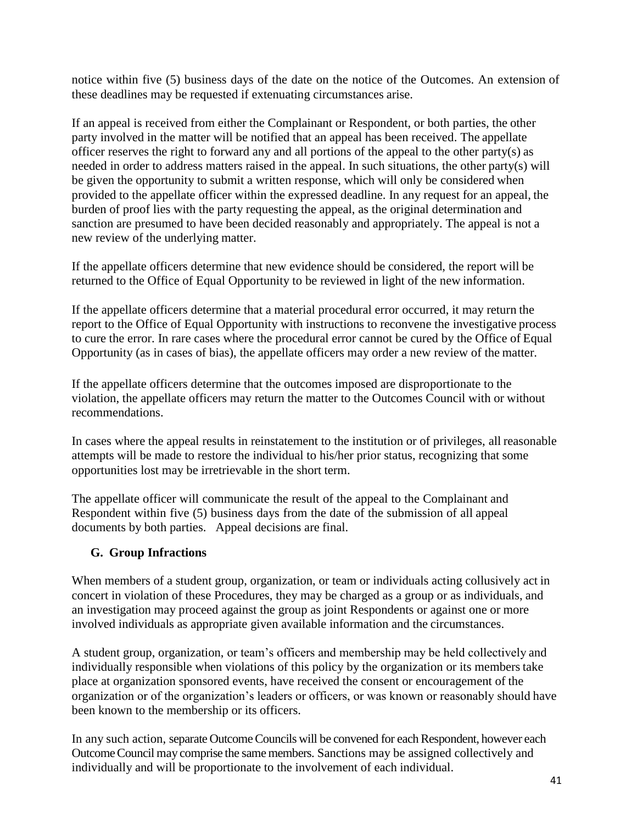notice within five (5) business days of the date on the notice of the Outcomes. An extension of these deadlines may be requested if extenuating circumstances arise.

If an appeal is received from either the Complainant or Respondent, or both parties, the other party involved in the matter will be notified that an appeal has been received. The appellate officer reserves the right to forward any and all portions of the appeal to the other party(s) as needed in order to address matters raised in the appeal. In such situations, the other party(s) will be given the opportunity to submit a written response, which will only be considered when provided to the appellate officer within the expressed deadline. In any request for an appeal, the burden of proof lies with the party requesting the appeal, as the original determination and sanction are presumed to have been decided reasonably and appropriately. The appeal is not a new review of the underlying matter.

If the appellate officers determine that new evidence should be considered, the report will be returned to the Office of Equal Opportunity to be reviewed in light of the new information.

If the appellate officers determine that a material procedural error occurred, it may return the report to the Office of Equal Opportunity with instructions to reconvene the investigative process to cure the error. In rare cases where the procedural error cannot be cured by the Office of Equal Opportunity (as in cases of bias), the appellate officers may order a new review of the matter.

If the appellate officers determine that the outcomes imposed are disproportionate to the violation, the appellate officers may return the matter to the Outcomes Council with or without recommendations.

In cases where the appeal results in reinstatement to the institution or of privileges, all reasonable attempts will be made to restore the individual to his/her prior status, recognizing that some opportunities lost may be irretrievable in the short term.

The appellate officer will communicate the result of the appeal to the Complainant and Respondent within five (5) business days from the date of the submission of all appeal documents by both parties. Appeal decisions are final.

## <span id="page-40-0"></span>**G. Group Infractions**

When members of a student group, organization, or team or individuals acting collusively act in concert in violation of these Procedures, they may be charged as a group or as individuals, and an investigation may proceed against the group as joint Respondents or against one or more involved individuals as appropriate given available information and the circumstances.

A student group, organization, or team's officers and membership may be held collectively and individually responsible when violations of this policy by the organization or its memberstake place at organization sponsored events, have received the consent or encouragement of the organization or of the organization's leaders or officers, or was known or reasonably should have been known to the membership or its officers.

In any such action, separate Outcome Councils will be convened for each Respondent, however each Outcome Council may comprise the same members. Sanctions may be assigned collectively and individually and will be proportionate to the involvement of each individual.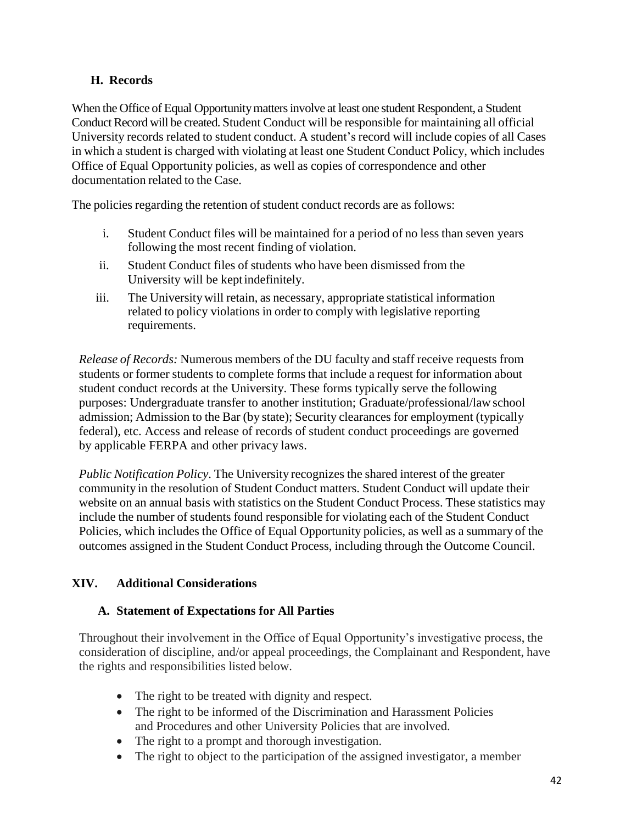## <span id="page-41-0"></span>**H. Records**

When the Office of Equal Opportunity matters involve at least one student Respondent, a Student Conduct Record will be created. Student Conduct will be responsible for maintaining all official University records related to student conduct. A student's record will include copies of all Cases in which a student is charged with violating at least one Student Conduct Policy, which includes Office of Equal Opportunity policies, as well as copies of correspondence and other documentation related to the Case.

The policies regarding the retention of student conduct records are as follows:

- i. Student Conduct files will be maintained for a period of no less than seven years following the most recent finding of violation.
- ii. Student Conduct files of students who have been dismissed from the University will be keptindefinitely.
- iii. The Universitywill retain, as necessary, appropriate statistical information related to policy violations in order to comply with legislative reporting requirements.

*Release of Records:* Numerous members of the DU faculty and staff receive requests from students or former students to complete forms that include a request for information about student conduct records at the University. These forms typically serve the following purposes: Undergraduate transfer to another institution; Graduate/professional/law school admission; Admission to the Bar (by state); Security clearances for employment (typically federal), etc. Access and release of records of student conduct proceedings are governed by applicable FERPA and other privacy laws.

*Public Notification Policy*. The University recognizes the shared interest of the greater community in the resolution of Student Conduct matters. Student Conduct will update their website on an annual basis with statistics on the Student Conduct Process. These statistics may include the number of students found responsible for violating each of the Student Conduct Policies, which includes the Office of Equal Opportunity policies, as well as a summary of the outcomes assigned in the Student Conduct Process, including through the Outcome Council.

## <span id="page-41-2"></span><span id="page-41-1"></span>**XIV. Additional Considerations**

## **A. Statement of Expectations for All Parties**

Throughout their involvement in the Office of Equal Opportunity's investigative process, the consideration of discipline, and/or appeal proceedings, the Complainant and Respondent, have the rights and responsibilities listed below.

- The right to be treated with dignity and respect.
- The right to be informed of the Discrimination and Harassment Policies and Procedures and other University Policies that are involved.
- The right to a prompt and thorough investigation.
- The right to object to the participation of the assigned investigator, a member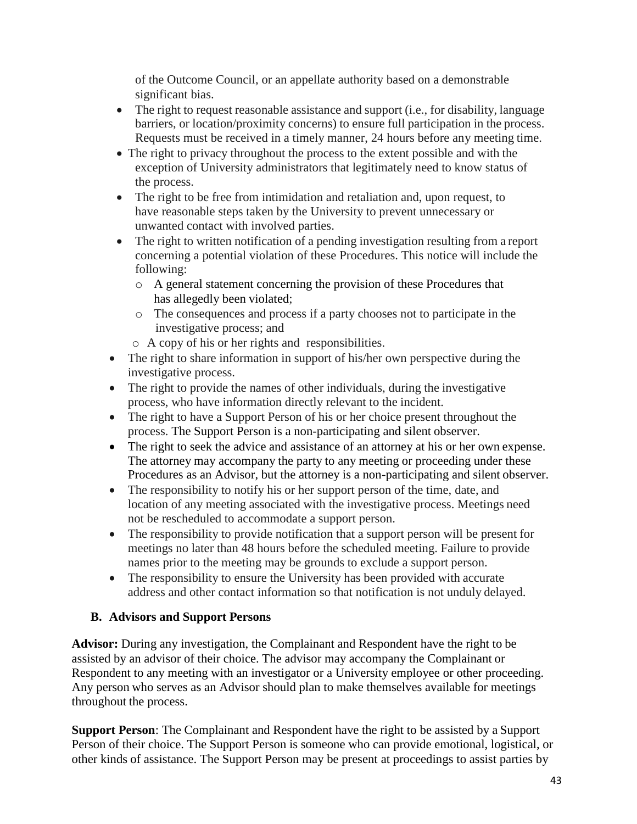of the Outcome Council, or an appellate authority based on a demonstrable significant bias.

- $\bullet$  The right to request reasonable assistance and support (i.e., for disability, language barriers, or location/proximity concerns) to ensure full participation in the process. Requests must be received in a timely manner, 24 hours before any meeting time.
- The right to privacy throughout the process to the extent possible and with the exception of University administrators that legitimately need to know status of the process.
- The right to be free from intimidation and retaliation and, upon request, to have reasonable steps taken by the University to prevent unnecessary or unwanted contact with involved parties.
- The right to written notification of a pending investigation resulting from a report concerning a potential violation of these Procedures. This notice will include the following:
	- o A general statement concerning the provision of these Procedures that has allegedly been violated;
	- o The consequences and process if a party chooses not to participate in the investigative process; and
	- o A copy of his or her rights and responsibilities.
- The right to share information in support of his/her own perspective during the investigative process.
- The right to provide the names of other individuals, during the investigative process, who have information directly relevant to the incident.
- The right to have a Support Person of his or her choice present throughout the process. The Support Person is a non-participating and silent observer.
- The right to seek the advice and assistance of an attorney at his or her own expense. The attorney may accompany the party to any meeting or proceeding under these Procedures as an Advisor, but the attorney is a non-participating and silent observer.
- The responsibility to notify his or her support person of the time, date, and location of any meeting associated with the investigative process. Meetings need not be rescheduled to accommodate a support person.
- The responsibility to provide notification that a support person will be present for meetings no later than 48 hours before the scheduled meeting. Failure to provide names prior to the meeting may be grounds to exclude a support person.
- The responsibility to ensure the University has been provided with accurate address and other contact information so that notification is not unduly delayed.

## <span id="page-42-0"></span>**B. Advisors and Support Persons**

**Advisor:** During any investigation, the Complainant and Respondent have the right to be assisted by an advisor of their choice. The advisor may accompany the Complainant or Respondent to any meeting with an investigator or a University employee or other proceeding. Any person who serves as an Advisor should plan to make themselves available for meetings throughout the process.

**Support Person**: The Complainant and Respondent have the right to be assisted by a Support Person of their choice. The Support Person is someone who can provide emotional, logistical, or other kinds of assistance. The Support Person may be present at proceedings to assist parties by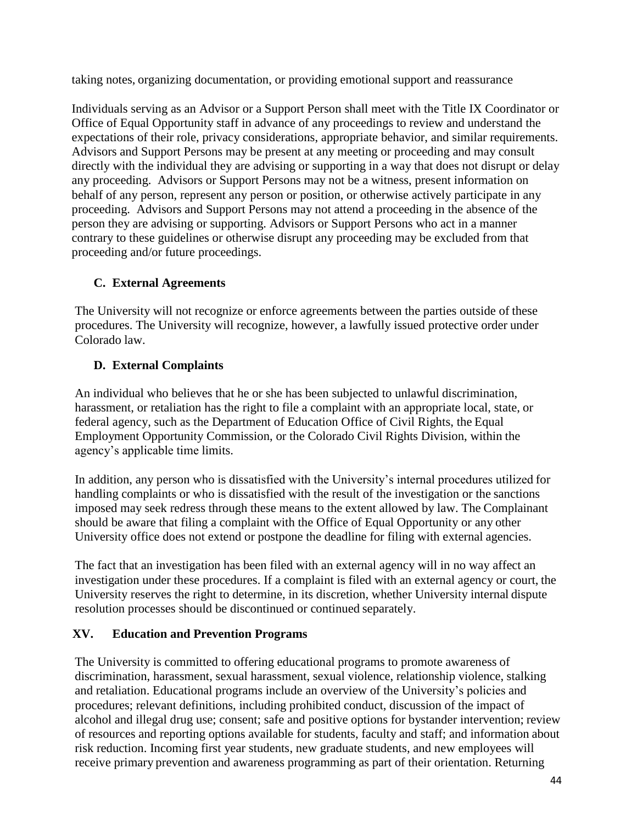taking notes, organizing documentation, or providing emotional support and reassurance

Individuals serving as an Advisor or a Support Person shall meet with the Title IX Coordinator or Office of Equal Opportunity staff in advance of any proceedings to review and understand the expectations of their role, privacy considerations, appropriate behavior, and similar requirements. Advisors and Support Persons may be present at any meeting or proceeding and may consult directly with the individual they are advising or supporting in a way that does not disrupt or delay any proceeding. Advisors or Support Persons may not be a witness, present information on behalf of any person, represent any person or position, or otherwise actively participate in any proceeding. Advisors and Support Persons may not attend a proceeding in the absence of the person they are advising or supporting. Advisors or Support Persons who act in a manner contrary to these guidelines or otherwise disrupt any proceeding may be excluded from that proceeding and/or future proceedings.

## <span id="page-43-0"></span>**C. External Agreements**

The University will not recognize or enforce agreements between the parties outside of these procedures. The University will recognize, however, a lawfully issued protective order under Colorado law.

## <span id="page-43-1"></span>**D. External Complaints**

An individual who believes that he or she has been subjected to unlawful discrimination, harassment, or retaliation has the right to file a complaint with an appropriate local, state, or federal agency, such as the Department of Education Office of Civil Rights, the Equal Employment Opportunity Commission, or the Colorado Civil Rights Division, within the agency's applicable time limits.

In addition, any person who is dissatisfied with the University's internal procedures utilized for handling complaints or who is dissatisfied with the result of the investigation or the sanctions imposed may seek redress through these means to the extent allowed by law. The Complainant should be aware that filing a complaint with the Office of Equal Opportunity or any other University office does not extend or postpone the deadline for filing with external agencies.

The fact that an investigation has been filed with an external agency will in no way affect an investigation under these procedures. If a complaint is filed with an external agency or court, the University reserves the right to determine, in its discretion, whether University internal dispute resolution processes should be discontinued or continued separately.

## <span id="page-43-2"></span>**XV. Education and Prevention Programs**

The University is committed to offering educational programs to promote awareness of discrimination, harassment, sexual harassment, sexual violence, relationship violence, stalking and retaliation. Educational programs include an overview of the University's policies and procedures; relevant definitions, including prohibited conduct, discussion of the impact of alcohol and illegal drug use; consent; safe and positive options for bystander intervention; review of resources and reporting options available for students, faculty and staff; and information about risk reduction. Incoming first year students, new graduate students, and new employees will receive primary prevention and awareness programming as part of their orientation. Returning